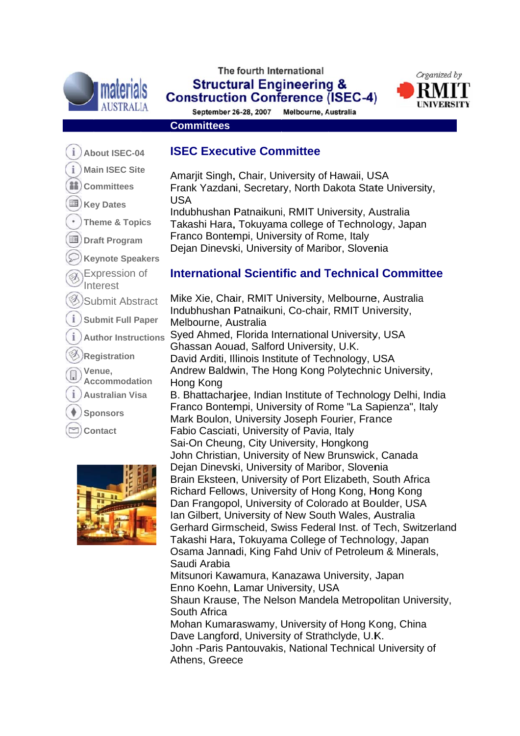



**Construction Conference (ISEC-4)** September 26-28, 2007 Melbourne, Australia

Amariit Singh, Chair, University of Hawaii, USA

Indubhushan Patnaikuni, RMIT University, Australia

**ISEC Executive Committee** 

Organized by

#### **Committees**

**USA** 

- i About ISEC-04
- i **Main ISEC Site**
- **iii**) Committees
- 围) Key Dates
- **Theme & Topics**
- Draft Program
- **Keynote Speakers**
- Expression of
- Interest
- Submit Abstract
- **Submit Full Paper**
- **Author Instructions**
- **Registration**
- Venue.
- **Accommodation**
- **Australian Visa**
- **Sponsors**
- **Contact**



#### Franco Bontempi, University of Rome, Italy Dejan Dinevski, University of Maribor, Slovenia

Takashi Hara, Tokuyama college of Technology, Japan

Frank Yazdani, Secretary, North Dakota State University,

## **International Scientific and Technical Committee**

Mike Xie, Chair, RMIT University, Melbourne, Australia Indubhushan Patnaikuni, Co-chair, RMIT University, Melbourne, Australia Syed Ahmed, Florida International University, USA Ghassan Aouad, Salford University, U.K. David Arditi, Illinois Institute of Technology, USA Andrew Baldwin, The Hong Kong Polytechnic University, Hong Kong B. Bhattachariee, Indian Institute of Technology Delhi, India Franco Bontempi, University of Rome "La Sapienza", Italy Mark Boulon, University Joseph Fourier, France Fabio Casciati, University of Pavia, Italy Sai-On Cheung, City University, Hongkong John Christian, University of New Brunswick, Canada Dejan Dinevski, University of Maribor, Slovenia Brain Eksteen, University of Port Elizabeth, South Africa Richard Fellows, University of Hong Kong, Hong Kong Dan Frangopol, University of Colorado at Boulder, USA Ian Gilbert, University of New South Wales, Australia Gerhard Girmscheid, Swiss Federal Inst. of Tech. Switzerland Takashi Hara, Tokuyama College of Technology, Japan Osama Jannadi, King Fahd Univ of Petroleum & Minerals, Saudi Arabia Mitsunori Kawamura, Kanazawa University, Japan Enno Koehn, Lamar University, USA Shaun Krause, The Nelson Mandela Metropolitan University, South Africa Mohan Kumaraswamy, University of Hong Kong, China Dave Langford, University of Strathclyde, U.K. John - Paris Pantouvakis, National Technical University of Athens, Greece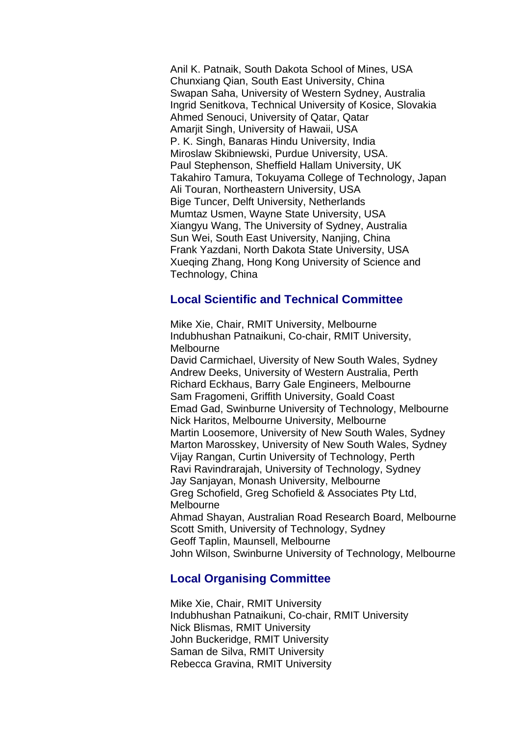Anil K. Patnaik, South Dakota School of Mines, USA Chunxiang Qian, South East University, China Swapan Saha, University of Western Sydney, Australia Ingrid Senitkova, Technical University of Kosice, Slovakia Ahmed Senouci, University of Qatar, Qatar Amarjit Singh, University of Hawaii, USA P. K. Singh, Banaras Hindu University, India Miroslaw Skibniewski, Purdue University, USA. Paul Stephenson, Sheffield Hallam University, UK Takahiro Tamura, Tokuyama College of Technology, Japan Ali Touran, Northeastern University, USA Bige Tuncer, Delft University, Netherlands Mumtaz Usmen, Wayne State University, USA Xiangyu Wang, The University of Sydney, Australia Sun Wei, South East University, Nanjing, China Frank Yazdani, North Dakota State University, USA Xueqing Zhang, Hong Kong University of Science and Technology, China

### **Local Scientific and Technical Committee**

Mike Xie, Chair, RMIT University, Melbourne Indubhushan Patnaikuni, Co-chair, RMIT University, Melbourne David Carmichael, Uiversity of New South Wales, Sydney Andrew Deeks, University of Western Australia, Perth Richard Eckhaus, Barry Gale Engineers, Melbourne Sam Fragomeni, Griffith University, Goald Coast Emad Gad, Swinburne University of Technology, Melbourne Nick Haritos, Melbourne University, Melbourne Martin Loosemore, University of New South Wales, Sydney Marton Marosskey, University of New South Wales, Sydney Vijay Rangan, Curtin University of Technology, Perth Ravi Ravindrarajah, University of Technology, Sydney Jay Sanjayan, Monash University, Melbourne Greg Schofield, Greg Schofield & Associates Pty Ltd, Melbourne Ahmad Shayan, Australian Road Research Board, Melbourne Scott Smith, University of Technology, Sydney Geoff Taplin, Maunsell, Melbourne John Wilson, Swinburne University of Technology, Melbourne

## **Local Organising Committee**

Mike Xie, Chair, RMIT University Indubhushan Patnaikuni, Co-chair, RMIT University Nick Blismas, RMIT University John Buckeridge, RMIT University Saman de Silva, RMIT University Rebecca Gravina, RMIT University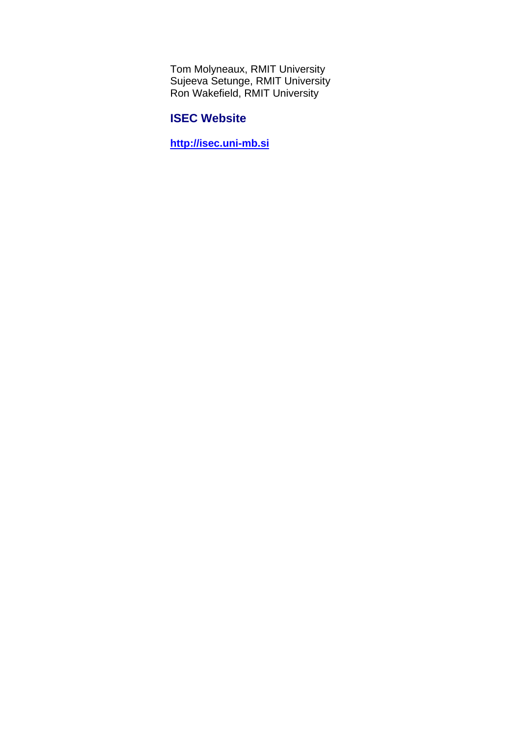Tom Molyneaux, RMIT University Sujeeva Setunge, RMIT University Ron Wakefield, RMIT University

## **ISEC Website**

**http://isec.uni-mb.si**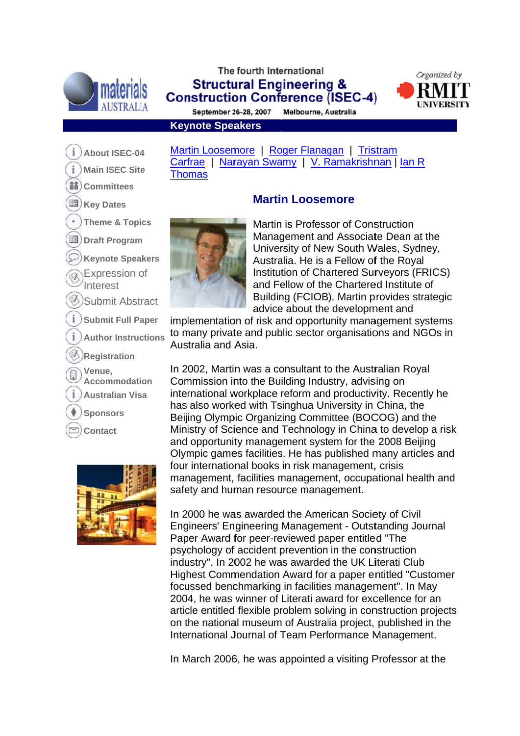

## The fourth International **Structural Engineering & Construction Conference (ISEC-4)**



September 26-28, 2007 Melbourne, Australia

**Keynote Speakers** 

- i About ISEC-04
- i **Main ISEC Site**
- $33)$ **Committees**
- Key Dates
- **Theme & Topics**
- **■)** Draft Program
- **Keynote Speakers**
- Expression of
- Interest
- **Submit Abstract**
- **Submit Full Paper**
- **Author Instructions**
- **Registration**
- Venue.
- Accommodation
- **Australian Visa**
- **Sponsors**
- **Contact**



Martin Loosemore | Roger Flanagan | Tristram Carfrae | Narayan Swamy | V. Ramakrishnan | Ian R **Thomas** 

# **Martin Loosemore**



Martin is Professor of Construction Management and Associate Dean at the University of New South Wales, Sydney, Australia. He is a Fellow of the Royal Institution of Chartered Survevors (FRICS) and Fellow of the Chartered Institute of Building (FCIOB). Martin provides strategic advice about the development and

implementation of risk and opportunity management systems to many private and public sector organisations and NGOs in Australia and Asia.

In 2002, Martin was a consultant to the Australian Royal Commission into the Building Industry, advising on international workplace reform and productivity. Recently he has also worked with Tsinghua University in China, the Beijing Olympic Organizing Committee (BOCOG) and the Ministry of Science and Technology in China to develop a risk and opportunity management system for the 2008 Beijing Olympic games facilities. He has published many articles and four international books in risk management, crisis management, facilities management, occupational health and safety and human resource management.

In 2000 he was awarded the American Society of Civil Engineers' Engineering Management - Outstanding Journal Paper Award for peer-reviewed paper entitled "The psychology of accident prevention in the construction industry". In 2002 he was awarded the UK Literati Club Highest Commendation Award for a paper entitled "Customer" focussed benchmarking in facilities management". In May 2004, he was winner of Literati award for excellence for an article entitled flexible problem solving in construction projects on the national museum of Australia project, published in the International Journal of Team Performance Management.

In March 2006, he was appointed a visiting Professor at the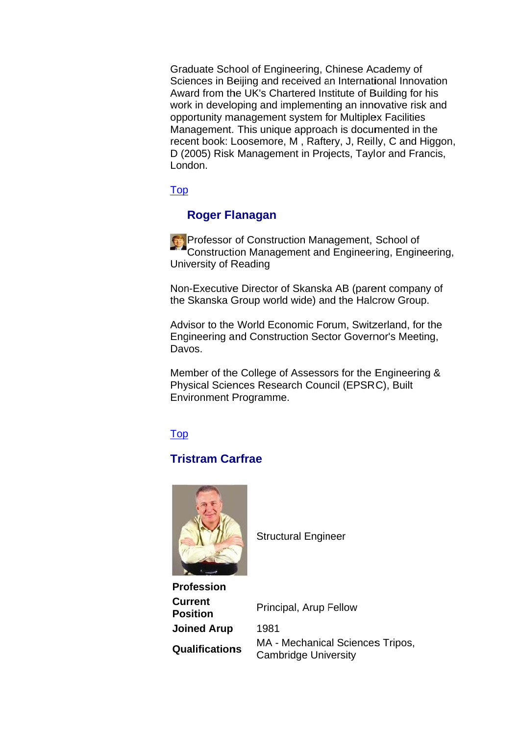Graduate School of Engineering, Chinese Academy of Sciences in Beijing and received an International Innovation Award from the UK's Chartered Institute of Building for his work in developing and implementing an innovative risk and opportunity management system for Multiplex Facilities Management. This unique approach is documented in the recent book: Loosemore, M, Raftery, J, Reilly, C and Higgon, D (2005) Risk Management in Projects, Taylor and Francis, London.

Top

## **Roger Flanagan**

Reference of Construction Management, School of Construction Management and Engineering, Engineering, University of Reading

Non-Executive Director of Skanska AB (parent company of the Skanska Group world wide) and the Halcrow Group.

Advisor to the World Economic Forum, Switzerland, for the Engineering and Construction Sector Governor's Meeting, Davos.

Member of the College of Assessors for the Engineering & Physical Sciences Research Council (EPSRC), Built **Environment Programme.** 

**Top** 

## **Tristram Carfrae**



**Structural Engineer** 

| <b>Profession</b>                 |                                                                 |
|-----------------------------------|-----------------------------------------------------------------|
| <b>Current</b><br><b>Position</b> | Principal, Arup Fellow                                          |
| <b>Joined Arup</b>                | 1981                                                            |
| <b>Qualifications</b>             | MA - Mechanical Sciences Tripos,<br><b>Cambridge University</b> |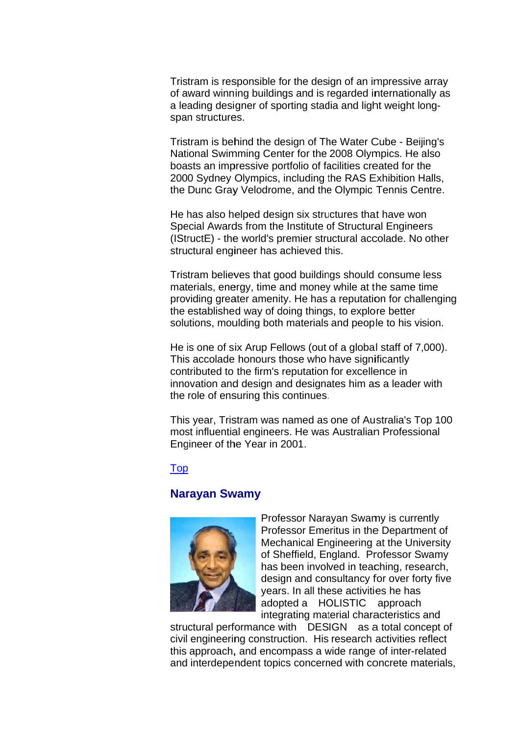Tristram is responsible for the design of an impressive array of award winning buildings and is regarded internationally as a leading designer of sporting stadia and light weight longspan structures.

Tristram is behind the design of The Water Cube - Beijing's National Swimming Center for the 2008 Olympics. He also boasts an impressive portfolio of facilities created for the 2000 Sydney Olympics, including the RAS Exhibition Halls, the Dunc Gray Velodrome, and the Olympic Tennis Centre.

He has also helped design six structures that have won Special Awards from the Institute of Structural Engineers (IStructE) - the world's premier structural accolade. No other structural engineer has achieved this.

Tristram believes that good buildings should consume less materials, energy, time and money while at the same time providing greater amenity. He has a reputation for challenging the established way of doing things, to explore better solutions, moulding both materials and people to his vision.

He is one of six Arup Fellows (out of a global staff of 7,000). This accolade honours those who have significantly contributed to the firm's reputation for excellence in innovation and design and designates him as a leader with the role of ensuring this continues.

This year, Tristram was named as one of Australia's Top 100 most influential engineers. He was Australian Professional Engineer of the Year in 2001.

#### Top

### **Naravan Swamv**



Professor Narayan Swamy is currently Professor Emeritus in the Department of Mechanical Engineering at the University of Sheffield, England. Professor Swamy has been involved in teaching, research, design and consultancy for over forty five vears. In all these activities he has adopted a HOLISTIC approach integrating material characteristics and

structural performance with DESIGN as a total concept of civil engineering construction. His research activities reflect this approach, and encompass a wide range of inter-related and interdependent topics concerned with concrete materials,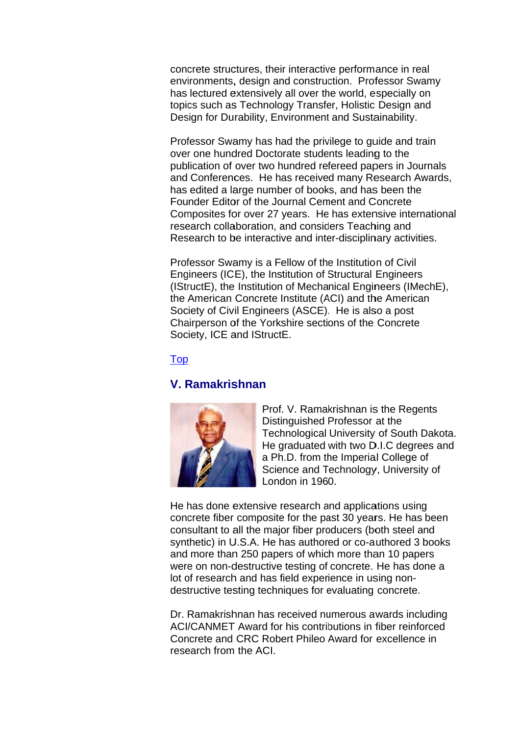concrete structures, their interactive performance in real environments, design and construction. Professor Swamy has lectured extensively all over the world, especially on topics such as Technology Transfer, Holistic Design and Design for Durability, Environment and Sustainability.

Professor Swamy has had the privilege to guide and train over one hundred Doctorate students leading to the publication of over two hundred refereed papers in Journals and Conferences. He has received many Research Awards, has edited a large number of books, and has been the Founder Editor of the Journal Cement and Concrete Composites for over 27 years. He has extensive international research collaboration, and considers Teaching and Research to be interactive and inter-disciplinary activities.

Professor Swamy is a Fellow of the Institution of Civil Engineers (ICE), the Institution of Structural Engineers (IStructE), the Institution of Mechanical Engineers (IMechE). the American Concrete Institute (ACI) and the American Society of Civil Engineers (ASCE). He is also a post Chairperson of the Yorkshire sections of the Concrete Society, ICE and IStructE.

#### Top

### V. Ramakrishnan



Prof. V. Ramakrishnan is the Regents Distinguished Professor at the Technological University of South Dakota. He graduated with two D.I.C degrees and a Ph.D. from the Imperial College of Science and Technology, University of London in 1960.

He has done extensive research and applications using concrete fiber composite for the past 30 years. He has been consultant to all the major fiber producers (both steel and synthetic) in U.S.A. He has authored or co-authored 3 books and more than 250 papers of which more than 10 papers were on non-destructive testing of concrete. He has done a lot of research and has field experience in using nondestructive testing techniques for evaluating concrete.

Dr. Ramakrishnan has received numerous awards including ACI/CANMET Award for his contributions in fiber reinforced Concrete and CRC Robert Phileo Award for excellence in research from the ACI.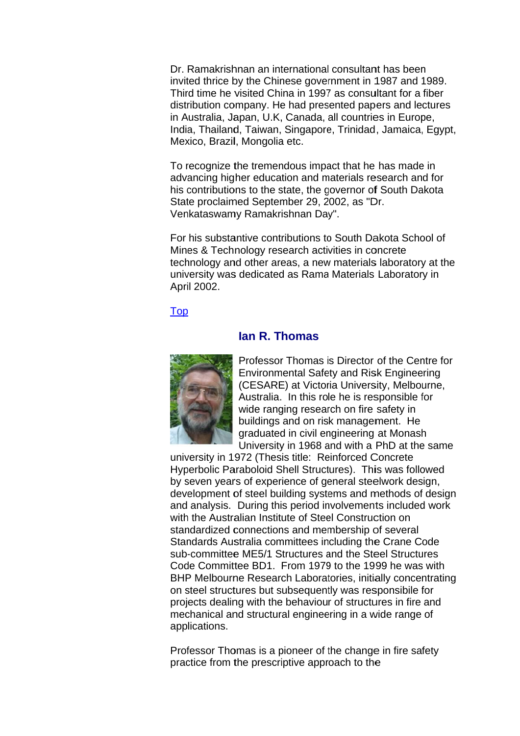Dr. Ramakrishnan an international consultant has been invited thrice by the Chinese government in 1987 and 1989. Third time he visited China in 1997 as consultant for a fiber distribution company. He had presented papers and lectures in Australia, Japan, U.K. Canada, all countries in Europe, India, Thailand, Taiwan, Singapore, Trinidad, Jamaica, Egypt, Mexico, Brazil, Mongolia etc.

To recognize the tremendous impact that he has made in advancing higher education and materials research and for his contributions to the state, the governor of South Dakota State proclaimed September 29, 2002, as "Dr. Venkataswamy Ramakrishnan Day".

For his substantive contributions to South Dakota School of Mines & Technology research activities in concrete technology and other areas, a new materials laboratory at the university was dedicated as Rama Materials Laboratory in April 2002.

#### **Top**

#### lan R. Thomas



Professor Thomas is Director of the Centre for **Environmental Safety and Risk Engineering** (CESARE) at Victoria University, Melbourne, Australia. In this role he is responsible for wide ranging research on fire safety in buildings and on risk management. He graduated in civil engineering at Monash University in 1968 and with a PhD at the same

university in 1972 (Thesis title: Reinforced Concrete Hyperbolic Paraboloid Shell Structures). This was followed by seven years of experience of general steelwork design, development of steel building systems and methods of design and analysis. During this period involvements included work with the Australian Institute of Steel Construction on standardized connections and membership of several Standards Australia committees including the Crane Code sub-committee ME5/1 Structures and the Steel Structures Code Committee BD1. From 1979 to the 1999 he was with BHP Melbourne Research Laboratories, initially concentrating on steel structures but subsequently was responsibile for projects dealing with the behaviour of structures in fire and mechanical and structural engineering in a wide range of applications.

Professor Thomas is a pioneer of the change in fire safety practice from the prescriptive approach to the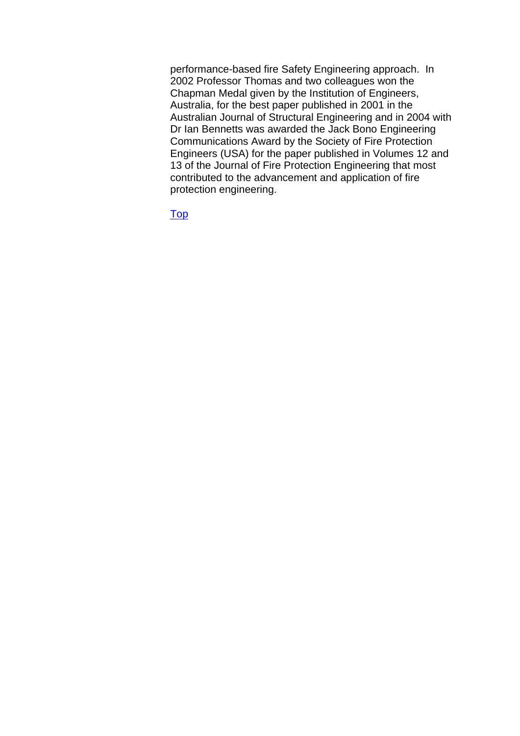performance-based fire Safety Engineering approach. In 2002 Professor Thomas and two colleagues won the Chapman Medal given by the Institution of Engineers, Australia, for the best paper published in 2001 in the Australian Journal of Structural Engineering and in 2004 with Dr Ian Bennetts was awarded the Jack Bono Engineering Communications Award by the Society of Fire Protection Engineers (USA) for the paper published in Volumes 12 and 13 of the Journal of Fire Protection Engineering that most contributed to the advancement and application of fire protection engineering.

Top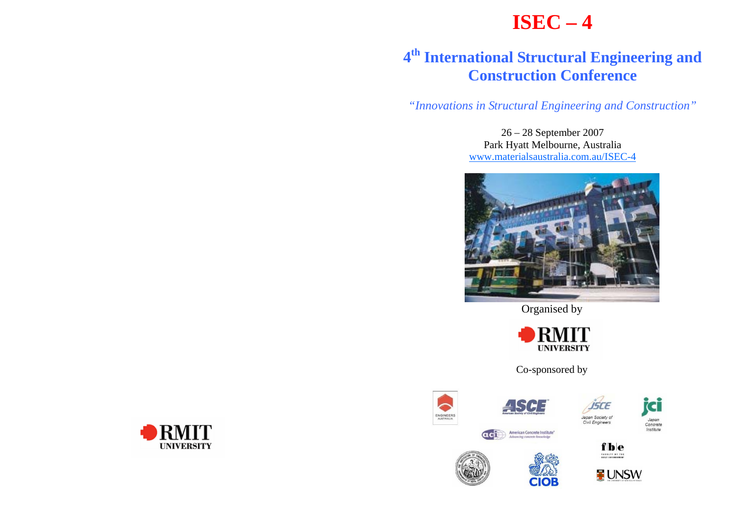# **ISEC – 4**

# **<sup>4</sup>th International Structural Engineering and Construction Conference**

*"Innovations in Structural Engineering and Construction"* 

26 – 28 September 2007 Park Hyatt Melbourne, Australia www.materialsaustralia.com.au/ISEC-4



Organised by



Co-sponsored by

















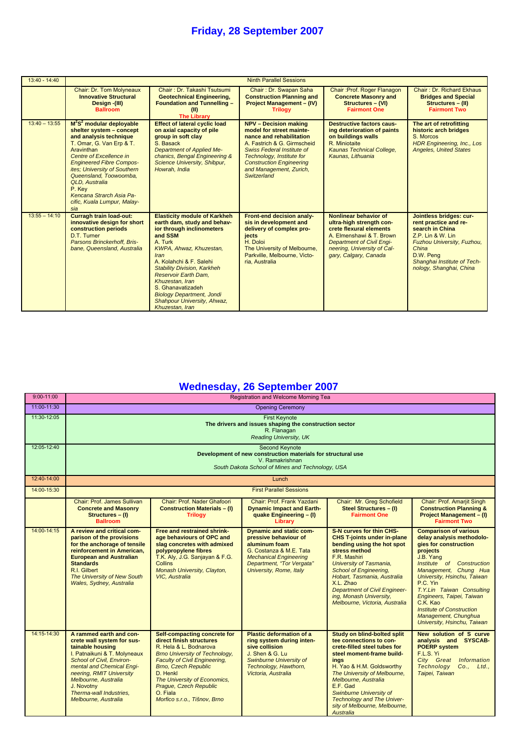| $13:40 - 14:40$ |                                                                                                                                                                                                                                                                                                                                                   |                                                                                                                                                                                                                                                                                                                                                                                        | <b>Ninth Parallel Sessions</b>                                                                                                                                                                                                                                     |                                                                                                                                                                                                      |                                                                                                                                                                                                          |
|-----------------|---------------------------------------------------------------------------------------------------------------------------------------------------------------------------------------------------------------------------------------------------------------------------------------------------------------------------------------------------|----------------------------------------------------------------------------------------------------------------------------------------------------------------------------------------------------------------------------------------------------------------------------------------------------------------------------------------------------------------------------------------|--------------------------------------------------------------------------------------------------------------------------------------------------------------------------------------------------------------------------------------------------------------------|------------------------------------------------------------------------------------------------------------------------------------------------------------------------------------------------------|----------------------------------------------------------------------------------------------------------------------------------------------------------------------------------------------------------|
|                 | Chair: Dr. Tom Molyneaux<br><b>Innovative Structural</b><br>Design - (III)<br><b>Ballroom</b>                                                                                                                                                                                                                                                     | Chair: Dr. Takashi Tsutsumi<br><b>Geotechnical Engineering,</b><br><b>Foundation and Tunnelling -</b><br><b>The Librarv</b>                                                                                                                                                                                                                                                            | Chair: Dr. Swapan Saha<br><b>Construction Planning and</b><br><b>Project Management - (IV)</b><br><b>Trilogy</b>                                                                                                                                                   | Chair: Prof. Roger Flanagon<br><b>Concrete Masonry and</b><br>Structures - (VI)<br><b>Fairmont One</b>                                                                                               | Chair: Dr. Richard Ekhaus<br><b>Bridges and Special</b><br>Structures - (II)<br><b>Fairmont Two</b>                                                                                                      |
| $13:40 - 13:55$ | $M^2S^2$ modular deployable<br>shelter system - concept<br>and analysis technique<br>T. Omar, G. Van Erp & T.<br>Aravinthan<br>Centre of Excellence in<br><b>Engineered Fibre Compos-</b><br>ites; University of Southern<br>Queensland, Toowoomba,<br>QLD. Australia<br>P. Kev<br>Kencana Strarch Asia Pa-<br>cific, Kuala Lumpur, Malay-<br>sia | <b>Effect of lateral cyclic load</b><br>on axial capacity of pile<br>group in soft clay<br>S. Basack<br><b>Department of Applied Me-</b><br>chanics, Bengal Engineering &<br>Science University, Shibpur,<br>Howrah, India                                                                                                                                                             | <b>NPV - Decision making</b><br>model for street mainte-<br>nance and rehabilitation<br>A. Fastrich & G. Girmscheid<br><b>Swiss Federal Institute of</b><br>Technology, Institute for<br><b>Construction Engineering</b><br>and Management, Zurich,<br>Switzerland | <b>Destructive factors caus-</b><br>ing deterioration of paints<br>on buildings walls<br>R. Miniotaite<br><b>Kaunas Technical College,</b><br>Kaunas, Lithuania                                      | The art of retrofitting<br>historic arch bridges<br>S. Morcos<br><b>HDR Engineering, Inc., Los</b><br><b>Angeles, United States</b>                                                                      |
| $13:55 - 14:10$ | <b>Curragh train load-out:</b><br>innovative design for short<br>construction periods<br>D.T. Turner<br>Parsons Brinckerhoff. Bris-<br>bane, Queensland, Australia                                                                                                                                                                                | <b>Elasticity module of Karkheh</b><br>earth dam, study and behav-<br>ior through inclinometers<br>and SSM<br>A. Turk<br>KWPA, Ahwaz, Khuzestan,<br>Iran<br>A. Kolahchi & F. Salehi<br><b>Stability Division, Karkheh</b><br><b>Reservoir Earth Dam.</b><br>Khuzestan, Iran<br>S. Ghanavatizadeh<br><b>Biology Department, Jondi</b><br>Shahpour University, Ahwaz,<br>Khuzestan, Iran | Front-end decision analy-<br>sis in development and<br>delivery of complex pro-<br>jects<br>H. Doloi<br>The University of Melbourne,<br>Parkville, Melbourne, Victo-<br>ria, Australia                                                                             | Nonlinear behavior of<br>ultra-high strength con-<br>crete flexural elements<br>A. Elmenshawi & T. Brown<br><b>Department of Civil Engi-</b><br>neering, University of Cal-<br>gary, Calgary, Canada | Jointless bridges: cur-<br>rent practice and re-<br>search in China<br>$Z.P.$ Lin & W. Lin<br>Fuzhou University, Fuzhou,<br>China<br>D.W. Peng<br>Shanghai Institute of Tech-<br>nology, Shanghai, China |

# **Wednesday, 26 September 2007**

| $9:00 - 11:00$ | Registration and Welcome Morning Tea                                                                                                                                                                                                                                                     |                                                                                                                                                                                                                                                                                                                      |                                                                                                                                                                                              |                                                                                                                                                                                                                                                                                                                                                   |                                                                                                                                                                                                                                                                                                                                                                               |  |  |
|----------------|------------------------------------------------------------------------------------------------------------------------------------------------------------------------------------------------------------------------------------------------------------------------------------------|----------------------------------------------------------------------------------------------------------------------------------------------------------------------------------------------------------------------------------------------------------------------------------------------------------------------|----------------------------------------------------------------------------------------------------------------------------------------------------------------------------------------------|---------------------------------------------------------------------------------------------------------------------------------------------------------------------------------------------------------------------------------------------------------------------------------------------------------------------------------------------------|-------------------------------------------------------------------------------------------------------------------------------------------------------------------------------------------------------------------------------------------------------------------------------------------------------------------------------------------------------------------------------|--|--|
| 11:00-11:30    | <b>Opening Ceremony</b>                                                                                                                                                                                                                                                                  |                                                                                                                                                                                                                                                                                                                      |                                                                                                                                                                                              |                                                                                                                                                                                                                                                                                                                                                   |                                                                                                                                                                                                                                                                                                                                                                               |  |  |
| 11:30-12:05    | <b>First Keynote</b><br>The drivers and issues shaping the construction sector<br>R. Flanagan<br>Reading University, UK                                                                                                                                                                  |                                                                                                                                                                                                                                                                                                                      |                                                                                                                                                                                              |                                                                                                                                                                                                                                                                                                                                                   |                                                                                                                                                                                                                                                                                                                                                                               |  |  |
| 12:05-12:40    |                                                                                                                                                                                                                                                                                          | Second Keynote<br>Development of new construction materials for structural use<br>V. Ramakrishnan<br>South Dakota School of Mines and Technology, USA                                                                                                                                                                |                                                                                                                                                                                              |                                                                                                                                                                                                                                                                                                                                                   |                                                                                                                                                                                                                                                                                                                                                                               |  |  |
| 12:40-14:00    |                                                                                                                                                                                                                                                                                          |                                                                                                                                                                                                                                                                                                                      | Lunch                                                                                                                                                                                        |                                                                                                                                                                                                                                                                                                                                                   |                                                                                                                                                                                                                                                                                                                                                                               |  |  |
| 14:00-15:30    |                                                                                                                                                                                                                                                                                          |                                                                                                                                                                                                                                                                                                                      | <b>First Parallel Sessions</b>                                                                                                                                                               |                                                                                                                                                                                                                                                                                                                                                   |                                                                                                                                                                                                                                                                                                                                                                               |  |  |
|                | Chair: Prof. James Sullivan<br><b>Concrete and Masonry</b><br>Structures - (I)<br><b>Ballroom</b>                                                                                                                                                                                        | Chair: Prof. Nader Ghafoori<br><b>Construction Materials - (I)</b><br><b>Trilogy</b>                                                                                                                                                                                                                                 | Chair: Prof. Frank Yazdani<br><b>Dynamic Impact and Earth-</b><br>quake Engineering - (I)<br>Library                                                                                         | Chair: Mr. Greg Schofield<br><b>Steel Structures - (I)</b><br><b>Fairmont One</b>                                                                                                                                                                                                                                                                 | Chair: Prof. Amarjit Singh<br><b>Construction Planning &amp;</b><br><b>Project Management - (I)</b><br><b>Fairmont Two</b>                                                                                                                                                                                                                                                    |  |  |
| 14:00-14:15    | A review and critical com-<br>parison of the provisions<br>for the anchorage of tensile<br>reinforcement in American.<br><b>European and Australian</b><br><b>Standards</b><br>R.I. Gilbert<br>The University of New South<br><b>Wales, Sydney, Australia</b>                            | <b>Free and restrained shrink-</b><br>age behaviours of OPC and<br>slag concretes with admixed<br>polypropylene fibres<br>T.K. Aly, J.G. Sanjayan & F.G.<br>Collins<br>Monash University, Clayton,<br><b>VIC.</b> Australia                                                                                          | <b>Dynamic and static com-</b><br>pressive behaviour of<br>aluminum foam<br>G. Costanza & M.E. Tata<br><b>Mechanical Engineering</b><br>Department, "Tor Vergata"<br>University, Rome, Italy | <b>S-N curves for thin CHS-</b><br><b>CHS T-joints under in-plane</b><br>bending using the hot spot<br>stress method<br>F.R. Mashiri<br>University of Tasmania.<br><b>School of Engineering,</b><br>Hobart, Tasmania, Australia<br>X.L. Zhao<br><b>Department of Civil Engineer-</b><br>ing, Monash University,<br>Melbourne, Victoria, Australia | <b>Comparison of various</b><br>delay analysis methodolo-<br>gies for construction<br>projects<br>J.B. Yang<br>Institute of Construction<br>Management, Chung Hua<br>University, Hsinchu, Taiwan<br>P.C. Yin<br>T.Y.Lin Taiwan Consulting<br>Engineers, Taipei, Taiwan<br>C.K. Kao<br><b>Institute of Construction</b><br>Management, Chunghua<br>University, Hsinchu, Taiwan |  |  |
| 14:15-14:30    | A rammed earth and con-<br>crete wall system for sus-<br>tainable housing<br>I. Patnaikuni & T. Molyneaux<br>School of Civil, Environ-<br>mental and Chemical Engi-<br>neering, RMIT University<br>Melbourne, Australia<br>J. Novotny<br>Therma-wall Industries,<br>Melbourne, Australia | Self-compacting concrete for<br>direct finish structures<br>R. Hela & L. Bodnarova<br><b>Brno University of Technology,</b><br><b>Faculty of Civil Engineering,</b><br><b>Brno, Czech Republic</b><br>D. Henkl<br>The University of Economics,<br>Praque, Czech Republic<br>O. Fiala<br>Morfico s.r.o., Tišnov, Brno | <b>Plastic deformation of a</b><br>ring system during inten-<br>sive collision<br>J. Shen & G. Lu<br><b>Swinburne University of</b><br>Technology, Hawthorn,<br>Victoria, Australia          | Study on blind-bolted split<br>tee connections to con-<br>crete-filled steel tubes for<br>steel moment-frame build-<br>ings<br>H. Yao & H.M. Goldsworthy<br>The University of Melbourne,<br>Melbourne, Australia<br>E.F. Gad<br><b>Swinburne University of</b><br><b>Technology and The Univer-</b><br>sity of Melbourne, Melbourne,<br>Australia | New solution of S curve<br>analysis and SYSCAB-<br><b>POERP</b> system<br>F.L.S. Yi<br>City Great<br>Information<br>Technology Co., Ltd.,<br>Taipei, Taiwan                                                                                                                                                                                                                   |  |  |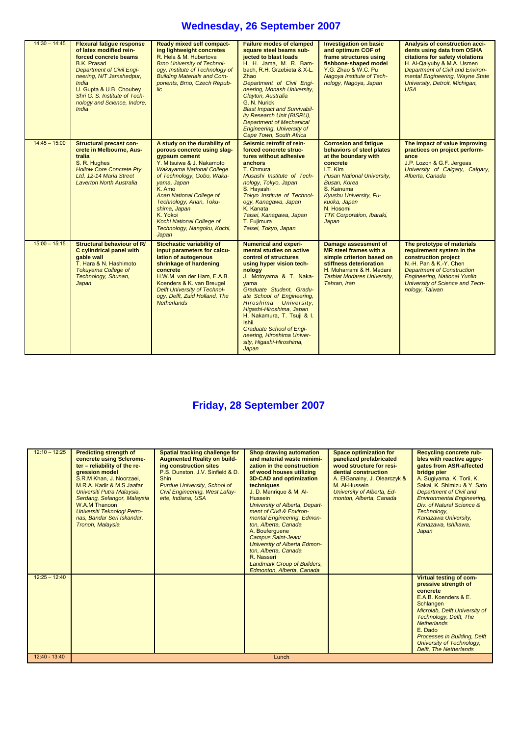## **Wednesday, 26 September 2007**

| $14:30 - 14:45$ | <b>Flexural fatigue response</b><br>of latex modified rein-<br>forced concrete beams<br><b>B.K. Prasad</b><br><b>Department of Civil Engi-</b><br>neering, NIT Jamshedpur,<br><b>India</b><br>U. Gupta & U.B. Choubey<br>Shri G. S. Institute of Tech-<br>nology and Science, Indore,<br><b>India</b> | Ready mixed self compact-<br>ing lightweight concretes<br>R. Hela & M. Hubertova<br><b>Brno University of Technol-</b><br>ogy, Institute of Technology of<br><b>Building Materials and Com-</b><br>ponents, Brno, Czech Repub-<br>lic                                                                                                                               | <b>Failure modes of clamped</b><br>square steel beams sub-<br>jected to blast loads<br>H. H. Jama, M. R. Bam-<br>bach, R.H. Grzebieta & X-L.<br>Zhao<br>Department of Civil Engi-<br>neering, Monash University,<br>Clayton, Australia<br>G. N. Nurick<br><b>Blast Impact and Survivabil-</b><br>ity Research Unit (BISRU),<br><b>Department of Mechanical</b><br><b>Engineering, University of</b><br>Cape Town, South Africa | <b>Investigation on basic</b><br>and optimum COF of<br>frame structures using<br>fishbone-shaped model<br>Y.G. Zhao & W.C. Pu<br>Nagoya Institute of Tech-<br>nology, Nagoya, Japan                                                                                                     | Analysis of construction acci-<br>dents using data from OSHA<br>citations for safety violations<br>H. Al-Qalyuby & M.A. Usmen<br><b>Department of Civil and Environ-</b><br>mental Engineering, Wayne State<br>University, Detroit, Michigan,<br><b>USA</b> |
|-----------------|-------------------------------------------------------------------------------------------------------------------------------------------------------------------------------------------------------------------------------------------------------------------------------------------------------|---------------------------------------------------------------------------------------------------------------------------------------------------------------------------------------------------------------------------------------------------------------------------------------------------------------------------------------------------------------------|--------------------------------------------------------------------------------------------------------------------------------------------------------------------------------------------------------------------------------------------------------------------------------------------------------------------------------------------------------------------------------------------------------------------------------|-----------------------------------------------------------------------------------------------------------------------------------------------------------------------------------------------------------------------------------------------------------------------------------------|-------------------------------------------------------------------------------------------------------------------------------------------------------------------------------------------------------------------------------------------------------------|
| $14:45 - 15:00$ | <b>Structural precast con-</b><br>crete in Melbourne, Aus-<br>tralia<br>S. R. Hughes<br><b>Hollow Core Concrete Pty</b><br>Ltd. 12-14 Maria Street<br>Laverton North Australia                                                                                                                        | A study on the durability of<br>porous concrete using slag-<br>gypsum cement<br>Y. Mitsuiwa & J. Nakamoto<br>Wakayama National College<br>of Technology, Gobo, Waka-<br>yama, Japan<br>K. Amo<br><b>Anan National College of</b><br>Technology, Anan, Toku-<br>shima, Japan<br>K. Yokoi<br><b>Kochi National College of</b><br>Technology, Nangoku, Kochi,<br>Japan | Seismic retrofit of rein-<br>forced concrete struc-<br>tures without adhesive<br>anchors<br>T. Ohmura<br>Musashi Institute of Tech-<br>nology, Tokyo, Japan<br>S. Hayashi<br><b>Tokyo Institute of Technol-</b><br>ogy, Kanagawa, Japan<br>K. Kanata<br>Taisei, Kanagawa, Japan<br>T. Fuiimura<br>Taisei, Tokyo, Japan                                                                                                         | <b>Corrosion and fatigue</b><br>behaviors of steel plates<br>at the boundary with<br>concrete<br>I.T. Kim<br><b>Pusan National University,</b><br><b>Busan, Korea</b><br>S. Kainuma<br>Kyushu University, Fu-<br>kuoka, Japan<br>N. Hosomi<br><b>TTK Corporation, Ibaraki,</b><br>Japan | The impact of value improving<br>practices on project perform-<br>ance<br>J.P. Lozon & G.F. Jergeas<br>University of Calgary, Calgary,<br>Alberta, Canada                                                                                                   |
| $15:00 - 15:15$ | Structural behaviour of R/<br>C cylindrical panel with<br>gable wall<br>T. Hara & N. Hashimoto<br><b>Tokuyama College of</b><br>Technology, Shunan,<br>Japan                                                                                                                                          | <b>Stochastic variability of</b><br>input parameters for calcu-<br>lation of autogenous<br>shrinkage of hardening<br>concrete<br>H.W.M. van der Ham, E.A.B.<br>Koenders & K. van Breugel<br><b>Delft University of Technol-</b><br>ogy, Delft, Zuid Holland, The<br><b>Netherlands</b>                                                                              | <b>Numerical and experi-</b><br>mental studies on active<br>control of structures<br>using hyper vision tech-<br>nology<br>J. Motoyama & T. Naka-<br>vama<br>Graduate Student, Gradu-<br>ate School of Engineering,<br>Hiroshima University,<br>Higashi-Hiroshima, Japan<br>H. Nakamura, T. Tsuji & I.<br><b>Ishii</b><br><b>Graduate School of Engi-</b><br>neering, Hiroshima Univer-<br>sity, Higashi-Hiroshima,<br>Japan   | Damage assessment of<br>MR steel frames with a<br>simple criterion based on<br>stiffness deterioration<br>H. Moharrami & H. Madani<br><b>Tarbiat Modares University,</b><br>Tehran, Iran                                                                                                | The prototype of materials<br>requirement system in the<br>construction project<br>N.-H. Pan & K.-Y. Chen<br><b>Department of Construction</b><br><b>Engineering, National Yunlin</b><br>University of Science and Tech-<br>nology, Taiwan                  |

# **Friday, 28 September 2007**

| $12:10 - 12:25$ | <b>Predicting strength of</b><br>concrete using Sclerome-<br>ter - reliability of the re-<br>gression model<br>S.R.M Khan, J. Noorzaei,<br>M.R.A. Kadir & M.S Jaafar<br>Universiti Putra Malaysia,<br>Serdang, Selangor, Malaysia<br>W.A.M Thanoon<br>Universiti Teknologi Petro-<br>nas, Bandar Seri Iskandar,<br>Tronoh, Malaysia | Spatial tracking challenge for<br><b>Augmented Reality on build-</b><br>ing construction sites<br>P.S. Dunston, J.V. Sinfield & D.<br><b>Shin</b><br>Purdue University, School of<br>Civil Engineering, West Lafay-<br>ette, Indiana, USA | <b>Shop drawing automation</b><br>and material waste minimi-<br>zation in the construction<br>of wood houses utilizing<br><b>3D-CAD and optimization</b><br>techniques<br>J. D. Manrique & M. Al-<br><b>Hussein</b><br>University of Alberta, Depart-<br>ment of Civil & Environ-<br>mental Engineering, Edmon-<br>ton, Alberta, Canada<br>A. Bouferquene<br>Campus Saint-Jean/<br>University of Alberta Edmon-<br>ton, Alberta, Canada<br>R. Nasseri<br><b>Landmark Group of Builders,</b><br>Edmonton, Alberta, Canada | <b>Space optimization for</b><br>panelized prefabricated<br>wood structure for resi-<br>dential construction<br>A. ElGanainy, J. Olearczyk &<br>M. Al-Hussein<br>University of Alberta, Ed-<br>monton, Alberta, Canada | <b>Recycling concrete rub-</b><br>bles with reactive aggre-<br>gates from ASR-affected<br>bridge pier<br>A. Sugiyama, K. Torii, K.<br>Sakai, K. Shimizu & Y. Sato<br><b>Department of Civil and</b><br><b>Environmental Engineering,</b><br>Div. of Natural Science &<br>Technology,<br>Kanazawa University,<br>Kanazawa, Ishikawa,<br>Japan |
|-----------------|-------------------------------------------------------------------------------------------------------------------------------------------------------------------------------------------------------------------------------------------------------------------------------------------------------------------------------------|-------------------------------------------------------------------------------------------------------------------------------------------------------------------------------------------------------------------------------------------|--------------------------------------------------------------------------------------------------------------------------------------------------------------------------------------------------------------------------------------------------------------------------------------------------------------------------------------------------------------------------------------------------------------------------------------------------------------------------------------------------------------------------|------------------------------------------------------------------------------------------------------------------------------------------------------------------------------------------------------------------------|----------------------------------------------------------------------------------------------------------------------------------------------------------------------------------------------------------------------------------------------------------------------------------------------------------------------------------------------|
| $12:25 - 12:40$ |                                                                                                                                                                                                                                                                                                                                     |                                                                                                                                                                                                                                           |                                                                                                                                                                                                                                                                                                                                                                                                                                                                                                                          |                                                                                                                                                                                                                        | Virtual testing of com-<br>pressive strength of<br>concrete<br>E.A.B. Koenders & E.<br>Schlangen<br>Microlab, Delft University of<br>Technology, Delft, The<br><b>Netherlands</b><br>E. Dado<br><b>Processes in Building, Delft</b><br><b>University of Technology,</b><br><b>Delft, The Netherlands</b>                                     |
| $12:40 - 13:40$ |                                                                                                                                                                                                                                                                                                                                     |                                                                                                                                                                                                                                           | Lunch                                                                                                                                                                                                                                                                                                                                                                                                                                                                                                                    |                                                                                                                                                                                                                        |                                                                                                                                                                                                                                                                                                                                              |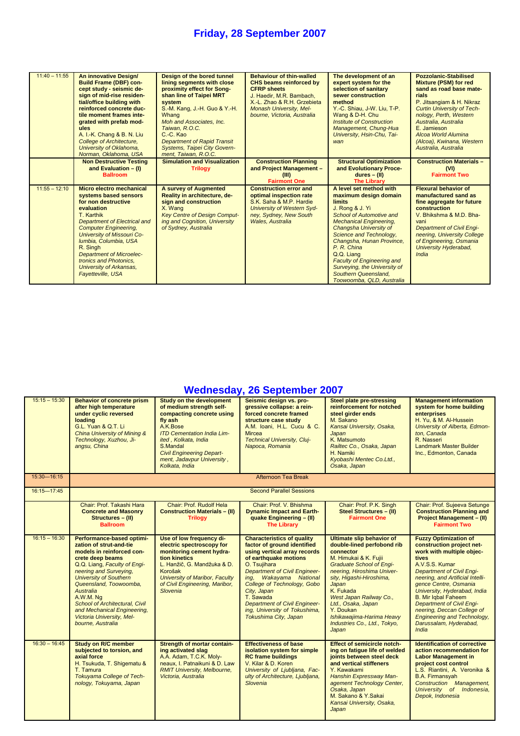| $11:40 - 11:55$ | An innovative Design/<br><b>Build Frame (DBF) con-</b><br>cept study - seismic de-<br>sign of mid-rise residen-<br>tial/office building with<br>reinforced concrete duc-<br>tile moment frames inte-<br>grated with prefab mod-<br>ules<br>A. I.-K. Chang & B. N. Liu<br><b>College of Architecture.</b><br>University of Oklahoma,<br>Norman, Oklahoma, USA | Design of the bored tunnel<br>lining segments with close<br>proximity effect for Song-<br>shan line of Taipei MRT<br>system<br>S.-M. Kang, J.-H. Guo & Y.-H.<br>Whang<br>Moh and Associates. Inc.<br>Taiwan, R.O.C.<br>C.-C. Kao<br><b>Department of Rapid Transit</b><br><b>Systems, Taipei City Govern-</b><br>ment, Taiwan, R.O.C. | <b>Behaviour of thin-walled</b><br>CHS beams reinforced by<br><b>CFRP</b> sheets<br>J. Haedir, M.R. Bambach,<br>X.-L. Zhao & R.H. Grzebieta<br><b>Monash University, Mel-</b><br>bourne, Victoria, Australia | The development of an<br>expert system for the<br>selection of sanitary<br>sewer construction<br>method<br>Y.-C. Shiau, J-W. Liu, T-P.<br>Wang & D-H. Chu<br>Institute of Construction<br>Management, Chung-Hua<br>University, Hsin-Chu, Tai-<br>wan                                                                                                                                               | <b>Pozzolanic-Stabilised</b><br><b>Mixture (PSM) for red</b><br>sand as road base mate-<br>rials<br>P. Jitsangiam & H. Nikraz<br><b>Curtin University of Tech-</b><br>nology, Perth, Western<br>Australia, Australia<br>E. Jamieson<br>Alcoa World Alumina<br>(Alcoa), Kwinana, Western<br>Australia, Australia |
|-----------------|--------------------------------------------------------------------------------------------------------------------------------------------------------------------------------------------------------------------------------------------------------------------------------------------------------------------------------------------------------------|---------------------------------------------------------------------------------------------------------------------------------------------------------------------------------------------------------------------------------------------------------------------------------------------------------------------------------------|--------------------------------------------------------------------------------------------------------------------------------------------------------------------------------------------------------------|----------------------------------------------------------------------------------------------------------------------------------------------------------------------------------------------------------------------------------------------------------------------------------------------------------------------------------------------------------------------------------------------------|-----------------------------------------------------------------------------------------------------------------------------------------------------------------------------------------------------------------------------------------------------------------------------------------------------------------|
|                 | <b>Non Destructive Testing</b><br>and Evaluation $-$ (I)<br><b>Ballroom</b>                                                                                                                                                                                                                                                                                  | <b>Simulation and Visualization</b><br><b>Trilogy</b>                                                                                                                                                                                                                                                                                 | <b>Construction Planning</b><br>and Project Management -<br>(III)<br><b>Fairmont One</b>                                                                                                                     | <b>Structural Optimization</b><br>and Evolutionary Proce-<br>$dures - (II)$<br><b>The Library</b>                                                                                                                                                                                                                                                                                                  | <b>Construction Materials -</b><br>(VI)<br><b>Fairmont Two</b>                                                                                                                                                                                                                                                  |
| $11:55 - 12:10$ | Micro electro mechanical<br>systems based sensors<br>for non destructive<br>evaluation<br>T. Karthik<br><b>Department of Electrical and</b><br><b>Computer Engineering.</b><br>University of Missouri Co-<br>Iumbia, Columbia, USA<br>R. Singh<br><b>Department of Microelec-</b><br>tronics and Photonics.<br>University of Arkansas,<br>Fayetteville, USA  | A survey of Augmented<br>Reality in architecture, de-<br>sign and construction<br>X. Wang<br><b>Key Centre of Design Comput-</b><br>ing and Cognition, University<br>of Sydney, Australia                                                                                                                                             | <b>Construction error and</b><br>optimal inspection rate<br>S.K. Saha & M.P. Hardie<br>University of Western Syd-<br>ney, Sydney, New South<br><b>Wales, Australia</b>                                       | A level set method with<br>maximum design domain<br><b>limits</b><br>J. Rong & J. Yi<br><b>School of Automotive and</b><br><b>Mechanical Engineering,</b><br>Changsha University of<br>Science and Technology,<br>Changsha, Hunan Province,<br>P. R. China<br>Q.Q. Liang<br><b>Faculty of Engineering and</b><br>Surveying, the University of<br>Southern Queensland,<br>Toowoomba, QLD, Australia | <b>Flexural behavior of</b><br>manufactured sand as<br>fine aggregate for future<br>construction<br>V. Bhikshma & M.D. Bha-<br>vani<br><b>Department of Civil Engi-</b><br>neering, University College<br>of Engineering, Osmania<br>University Hyderabad,<br>India                                             |

### **Wednesday, 26 September 2007**

| $15:15 - 15:30$ | <b>Behavior of concrete prism</b><br>after high temperature<br>under cyclic reversed<br>loading<br>G.L. Yuan & Q.T. Li<br>China University of Mining &<br>Technology, Xuzhou, Ji-<br>angsu, China                                                                                                                                                                       | <b>Study on the development</b><br>of medium strength self-<br>compacting concrete using<br>fly ash<br>A.K.Bose<br><b>ITD Cementation India Lim-</b><br>ited, Kolkata, India<br>S.Mandal<br><b>Civil Engineering Depart-</b><br>ment, Jadavpur University,<br>Kolkata, India | Seismic design vs. pro-<br>gressive collapse: a rein-<br>forced concrete framed<br>structure case study<br>A.M. Ioani, H.L. Cucu & C.<br><b>Mircea</b><br><b>Technical University, Cluj-</b><br>Napoca, Romania                                                                                                                                                          | <b>Steel plate pre-stressing</b><br>reinforcement for notched<br>steel girder ends<br>M. Sakano<br>Kansai University, Osaka,<br>Japan<br>K. Matsumoto<br>Railtec Co., Osaka, Japan<br>H. Namiki<br>Kyobashi Mentec Co.Ltd.,<br>Osaka, Japan                                                                                                                 | <b>Management information</b><br>system for home building<br>enterprises<br>H. Yu. & M. Al-Hussein<br>University of Alberta, Edmon-<br>ton. Canada<br>R. Nasseri<br><b>Landmark Master Builder</b><br>Inc., Edmonton, Canada                                                                                                                                                                                                |
|-----------------|-------------------------------------------------------------------------------------------------------------------------------------------------------------------------------------------------------------------------------------------------------------------------------------------------------------------------------------------------------------------------|------------------------------------------------------------------------------------------------------------------------------------------------------------------------------------------------------------------------------------------------------------------------------|--------------------------------------------------------------------------------------------------------------------------------------------------------------------------------------------------------------------------------------------------------------------------------------------------------------------------------------------------------------------------|-------------------------------------------------------------------------------------------------------------------------------------------------------------------------------------------------------------------------------------------------------------------------------------------------------------------------------------------------------------|-----------------------------------------------------------------------------------------------------------------------------------------------------------------------------------------------------------------------------------------------------------------------------------------------------------------------------------------------------------------------------------------------------------------------------|
| 15:30-16:15     |                                                                                                                                                                                                                                                                                                                                                                         |                                                                                                                                                                                                                                                                              | Afternoon Tea Break                                                                                                                                                                                                                                                                                                                                                      |                                                                                                                                                                                                                                                                                                                                                             |                                                                                                                                                                                                                                                                                                                                                                                                                             |
| 16:15-17:45     |                                                                                                                                                                                                                                                                                                                                                                         |                                                                                                                                                                                                                                                                              | <b>Second Parallel Sessions</b>                                                                                                                                                                                                                                                                                                                                          |                                                                                                                                                                                                                                                                                                                                                             |                                                                                                                                                                                                                                                                                                                                                                                                                             |
|                 | Chair: Prof. Takashi Hara<br><b>Concrete and Masonry</b><br>Structures - (II)<br><b>Ballroom</b>                                                                                                                                                                                                                                                                        | Chair: Prof. Rudolf Hela<br><b>Construction Materials - (II)</b><br><b>Trilogy</b>                                                                                                                                                                                           | Chair: Prof. V. Bhishma<br><b>Dynamic Impact and Earth-</b><br>quake Engineering - (II)<br><b>The Library</b>                                                                                                                                                                                                                                                            | Chair: Prof. P.K. Singh<br><b>Steel Structures - (II)</b><br><b>Fairmont One</b>                                                                                                                                                                                                                                                                            | Chair: Prof. Sujeeva Setunge<br><b>Construction Planning and</b><br><b>Project Management - (II)</b><br><b>Fairmont Two</b>                                                                                                                                                                                                                                                                                                 |
| $16:15 - 16:30$ | Performance-based optimi-<br>zation of strut-and-tie<br>models in reinforced con-<br>crete deep beams<br>Q.Q. Liang, Faculty of Engi-<br>neering and Surveying,<br><b>University of Southern</b><br>Queensland, Toowoomba,<br>Australia<br>A.W.M. Ng<br>School of Architectural, Civil<br>and Mechanical Engineering,<br>Victoria University, Mel-<br>bourne, Australia | Use of low frequency di-<br>electric spectroscopy for<br>monitoring cement hydra-<br>tion kinetics<br>L. Hanžič, G. Mandžuka & D.<br>Korošak<br><b>University of Maribor, Faculty</b><br>of Civil Engineering, Maribor,<br>Slovenia                                          | <b>Characteristics of quality</b><br>factor of ground identified<br>using vertical array records<br>of earthquake motions<br>O. Tsujihara<br><b>Department of Civil Engineer-</b><br>ing, Wakayama National<br>College of Technology, Gobo<br>City, Japan<br>T. Sawada<br><b>Department of Civil Engineer-</b><br>ing, University of Tokushima,<br>Tokushima City, Japan | <b>Ultimate slip behavior of</b><br>double-lined perfobond rib<br>connector<br>M. Himukai & K. Fujii<br><b>Graduate School of Engi-</b><br>neering, Hiroshima Univer-<br>sity, Higashi-Hiroshima,<br>Japan<br>K. Fukada<br>West Japan Railway Co.,<br>Ltd., Osaka, Japan<br>Y. Doukan<br>Ishikawajima-Harima Heavy<br>Industries Co., Ltd., Tokyo,<br>Japan | <b>Fuzzy Optimization of</b><br>construction project net-<br>work with multiple objec-<br>tives<br>A.V.S.S. Kumar<br><b>Department of Civil Engi-</b><br>neering, and Artificial Intelli-<br>gence Centre, Osmania<br>University, Hyderabad, India<br>B. Mir Iqbal Faheem<br><b>Department of Civil Engi-</b><br>neering, Deccan College of<br><b>Engineering and Technology,</b><br>Darussalam, Hyderabad,<br><b>India</b> |
| $16:30 - 16:45$ | <b>Study on R/C member</b><br>subjected to torsion, and<br>axial force<br>H. Tsukuda, T. Shigematu &<br>T. Tamura<br>Tokuyama College of Tech-<br>nology, Tokuyama, Japan                                                                                                                                                                                               | <b>Strength of mortar contain-</b><br>ing activated slag<br>A.A. Adam, T.C.K. Moly-<br>neaux, I. Patnaikuni & D. Law<br><b>RMIT University, Melbourne,</b><br>Victoria, Australia                                                                                            | <b>Effectiveness of base</b><br>isolation system for simple<br><b>RC frame buildings</b><br>V. Kilar & D. Koren<br>University of Ljubljana, Fac-<br>ulty of Architecture, Ljubljana,<br>Slovenia                                                                                                                                                                         | <b>Effect of semicircle notch-</b><br>ing on fatique life of welded<br>joints between steel deck<br>and vertical stiffeners<br>Y. Kawakami<br>Hanshin Expressway Man-<br>agement Technology Center,<br>Osaka, Japan<br>M. Sakano & Y. Sakai<br>Kansai University, Osaka,<br>Japan                                                                           | <b>Identification of corrective</b><br>action recommendation for<br><b>Labor Management in</b><br>project cost control<br>L.S. Riantini, A. Veronika &<br><b>B.A. Firmansyah</b><br><b>Construction Management,</b><br>University of Indonesia,<br>Depok, Indonesia                                                                                                                                                         |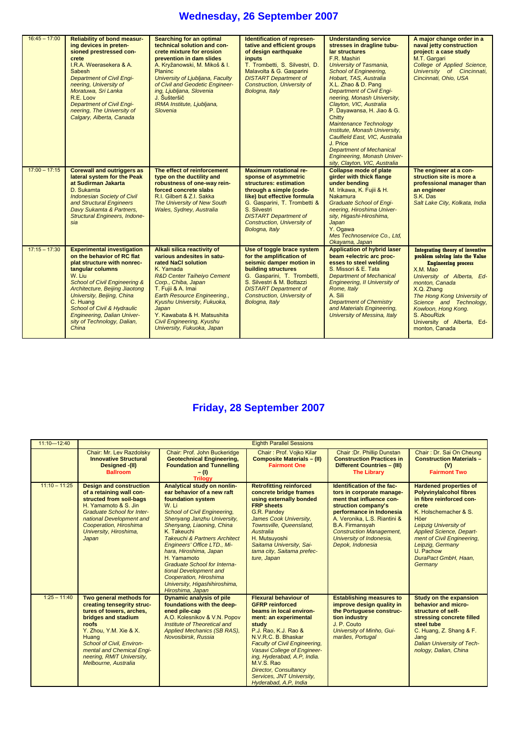# **Wednesday, 26 September 2007**

| $16:45 - 17:00$ | <b>Reliability of bond measur-</b><br>ing devices in preten-<br>sioned prestressed con-<br>crete<br>I.R.A. Weerasekera & A.<br><b>Sabesh</b><br><b>Department of Civil Engi-</b><br>neering, University of<br>Moratuwa, Sri Lanka<br>R.E. Loov<br><b>Department of Civil Engi-</b><br>neering, The University of<br>Calgary, Alberta, Canada               | <b>Searching for an optimal</b><br>technical solution and con-<br>crete mixture for erosion<br>prevention in dam slides<br>A. Kryžanowski, M. Mikoš & I.<br><b>Planinc</b><br>University of Ljubljana, Faculty<br>of Civil and Geodetic Engineer-<br>ing, Ljubljana, Slovenia<br>J. Šušteršič<br>IRMA Institute, Ljubljana,<br>Slovenia                      | Identification of represen-<br>tative and efficient groups<br>of design earthquake<br><i>inputs</i><br>T. Trombetti, S. Silvestri, D.<br>Malavolta & G. Gasparini<br><b>DISTART Department of</b><br><b>Construction, University of</b><br>Bologna, Italy                         | <b>Understanding service</b><br>stresses in dragline tubu-<br>lar structures<br>F.R. Mashiri<br>University of Tasmania,<br><b>School of Engineering,</b><br>Hobart, TAS, Australia<br>X.L. Zhao & D. Pang<br><b>Department of Civil Engi-</b><br>neering, Monash University,<br>Clayton, VIC, Australia<br>P. Dayawansa, H. Jiao & G.<br>Chitty<br><b>Maintenance Technology</b><br>Institute, Monash University,<br>Caulfield East, VIC, Australia<br>J. Price<br><b>Department of Mechanical</b><br><b>Engineering, Monash Univer-</b><br>sity, Clayton, VIC, Australia | A major change order in a<br>naval jetty construction<br>project: a case study<br>M.T. Gargari<br>College of Applied Science,<br>University of Cincinnati,<br>Cincinnati, Ohio, USA                                                                                                                                              |
|-----------------|------------------------------------------------------------------------------------------------------------------------------------------------------------------------------------------------------------------------------------------------------------------------------------------------------------------------------------------------------------|--------------------------------------------------------------------------------------------------------------------------------------------------------------------------------------------------------------------------------------------------------------------------------------------------------------------------------------------------------------|-----------------------------------------------------------------------------------------------------------------------------------------------------------------------------------------------------------------------------------------------------------------------------------|---------------------------------------------------------------------------------------------------------------------------------------------------------------------------------------------------------------------------------------------------------------------------------------------------------------------------------------------------------------------------------------------------------------------------------------------------------------------------------------------------------------------------------------------------------------------------|----------------------------------------------------------------------------------------------------------------------------------------------------------------------------------------------------------------------------------------------------------------------------------------------------------------------------------|
| $17:00 - 17:15$ | <b>Corewall and outriggers as</b><br>lateral system for the Peak<br>at Sudirman Jakarta<br>D. Sukamta<br><b>Indonesian Society of Civil</b><br>and Structural Engineers<br>Davy Sukamta & Partners,<br><b>Structural Engineers, Indone-</b><br>sia                                                                                                         | The effect of reinforcement<br>type on the ductility and<br>robustness of one-way rein-<br>forced concrete slabs<br>R.I. Gilbert & Z.I. Sakka<br>The University of New South<br>Wales, Sydney, Australia                                                                                                                                                     | <b>Maximum rotational re-</b><br>sponse of asymmetric<br>structures: estimation<br>through a simple (code-<br>like) but effective formula<br>G. Gasparini, T. Trombetti &<br>S. Silvestri<br><b>DISTART Department of</b><br><b>Construction, University of</b><br>Bologna, Italy | <b>Collapse mode of plate</b><br>girder with thick flange<br>under bending<br>M. Irikawa, K. Fujii & H.<br><b>Nakamura</b><br><b>Graduate School of Engi-</b><br>neering, Hiroshima Univer-<br>sity, Higashi-Hiroshima,<br>Japan<br>Y. Ogawa<br>Mes Technoservice Co., Ltd,<br>Okayama, Japan                                                                                                                                                                                                                                                                             | The engineer at a con-<br>struction site is more a<br>professional manager than<br>an engineer<br>S.K. Das<br>Salt Lake City, Kolkata, India                                                                                                                                                                                     |
| $17:15 - 17:30$ | <b>Experimental investigation</b><br>on the behavior of RC flat<br>plat structure with nonrec-<br>tangular columns<br>W. Liu<br><b>School of Civil Engineering &amp;</b><br>Architecture, Beijing Jiaotong<br>University, Beijing, China<br>C. Huang<br>School of Civil & Hydraulic<br>Engineering, Dalian Univer-<br>sity of Technology, Dalian,<br>China | Alkali silica reactivity of<br>various andesites in satu-<br>rated NaCl solution<br>K. Yamada<br><b>R&amp;D Center Taiheiyo Cement</b><br>Corp., Chiba, Japan<br>T. Fujii & A. Imai<br>Earth Resource Engineering.,<br>Kyushu University, Fukuoka,<br>Japan<br>Y. Kawabata & H. Matsushita<br><b>Civil Engineering, Kyushu</b><br>University, Fukuoka, Japan | Use of toggle brace system<br>for the amplification of<br>seismic damper motion in<br>building structures<br>G. Gasparini, T. Trombetti,<br>S. Silvestri & M. Bottazzi<br><b>DISTART Department of</b><br><b>Construction, University of</b><br>Bologna, Italy                    | <b>Application of hybrid laser</b><br>beam +electric arc proc-<br>esses to steel welding<br>S. Missori & E. Tata<br><b>Department of Mechanical</b><br>Engineering, II University of<br>Rome, Italy<br>A. Sili<br><b>Department of Chemistry</b><br>and Materials Engineering,<br>University of Messina, Italy                                                                                                                                                                                                                                                            | <b>Integrating theory of inventive</b><br>problem solving into the Value<br><b>Engineering process</b><br>X.M. Mao<br>University of Alberta, Ed-<br>monton. Canada<br>X.Q. Zhang<br>The Hong Kong University of<br>Science and Technology,<br>Kowloon, Hong Kong.<br>S. AbouRizk<br>University of Alberta, Ed-<br>monton, Canada |

# **Friday, 28 September 2007**

| $11:10 - 12:40$ | <b>Eighth Parallel Sessions</b>                                                                                                                                                                                                                                     |                                                                                                                                                                                                                                                                                                                                                                                                                                                                        |                                                                                                                                                                                                                                                                                                                                                                              |                                                                                                                                                                                                                                                                                     |                                                                                                                                                                                                                                                                                                     |
|-----------------|---------------------------------------------------------------------------------------------------------------------------------------------------------------------------------------------------------------------------------------------------------------------|------------------------------------------------------------------------------------------------------------------------------------------------------------------------------------------------------------------------------------------------------------------------------------------------------------------------------------------------------------------------------------------------------------------------------------------------------------------------|------------------------------------------------------------------------------------------------------------------------------------------------------------------------------------------------------------------------------------------------------------------------------------------------------------------------------------------------------------------------------|-------------------------------------------------------------------------------------------------------------------------------------------------------------------------------------------------------------------------------------------------------------------------------------|-----------------------------------------------------------------------------------------------------------------------------------------------------------------------------------------------------------------------------------------------------------------------------------------------------|
|                 | Chair: Mr. Lev Razdolsky<br><b>Innovative Structural</b><br>Designed -(II)<br><b>Ballroom</b>                                                                                                                                                                       | Chair: Prof. John Buckeridge<br><b>Geotechnical Engineering,</b><br><b>Foundation and Tunnelling</b><br>$- (1)$<br><b>Trilogy</b>                                                                                                                                                                                                                                                                                                                                      | Chair: Prof. Vojko Kilar<br><b>Composite Materials - (II)</b><br><b>Fairmont One</b>                                                                                                                                                                                                                                                                                         | Chair: Dr. Phillip Dunstan<br><b>Construction Practices in</b><br>Different Countries - (III)<br><b>The Library</b>                                                                                                                                                                 | Chair: Dr. Sai On Cheung<br><b>Construction Materials -</b><br>(V)<br><b>Fairmont Two</b>                                                                                                                                                                                                           |
| $11:10 - 11:25$ | <b>Design and construction</b><br>of a retaining wall con-<br>structed from soil-bags<br>H. Yamamoto & S. Jin<br><b>Graduate School for Inter-</b><br>national Development and<br>Cooperation, Hiroshima<br>University, Hiroshima,<br>Japan                         | Analytical study on nonlin-<br>ear behavior of a new raft<br>foundation system<br>W. Li<br><b>School of Civil Engineering,</b><br>Shenyang Janzhu University,<br>Shenyang, Liaoning, China<br>K. Takeuchi<br><b>Takeuchi &amp; Partners Architect</b><br>Engineers' Office LTD., Mi-<br>hara, Hiroshima, Japan<br>H. Yamamoto<br>Graduate School for Interna-<br>tional Development and<br>Cooperation, Hiroshima<br>University, Higashihiroshima,<br>Hiroshima, Japan | <b>Retrofitting reinforced</b><br>concrete bridge frames<br>using externally bonded<br><b>FRP</b> sheets<br>G.R. Pandey<br>James Cook University,<br>Townsville, Queensland,<br>Australia<br>H. Mutsuyoshi<br>Saitama University, Sai-<br>tama city, Saitama prefec-<br>ture, Japan                                                                                          | Identification of the fac-<br>tors in corporate manage-<br>ment that influence con-<br>struction company's<br>performance in Indonesia<br>A. Veronika, L.S. Riantini &<br><b>B.A. Firmansyah</b><br><b>Construction Management,</b><br>University of Indonesia.<br>Depok, Indonesia | <b>Hardened properties of</b><br><b>Polyvinylalcohol fibres</b><br>in fibre reinforced con-<br>crete<br>K. Holschemacher & S.<br>Höer<br>Leipzig University of<br><b>Applied Science, Depart-</b><br>ment of Civil Engineering.<br>Leipzig, Germany<br>U. Pachow<br>DuraPact GmbH, Haan,<br>Germany |
| $1:25 - 11:40$  | Two general methods for<br>creating tensegrity struc-<br>tures of towers, arches,<br>bridges and stadium<br>roofs<br>Y. Zhou, Y.M. Xie & X.<br>Huang<br>School of Civil, Environ-<br>mental and Chemical Engi-<br>neering, RMIT University,<br>Melbourne, Australia | <b>Dynamic analysis of pile</b><br>foundations with the deep-<br>ened pile-cap<br>A.O. Kolesnikov & V.N. Popov<br>Institute of Theoretical and<br>Applied Mechanics (SB RAS),<br>Novosibirsk, Russia                                                                                                                                                                                                                                                                   | <b>Flexural behaviour of</b><br><b>GFRP</b> reinforced<br>beams in local environ-<br>ment: an experimental<br>study<br>P.J. Rao, K.J. Rao &<br>N.V.R.C. B. Bhaskar<br><b>Faculty of Civil Engineering,</b><br>Vasavi College of Engineer-<br>ing, Hyderabad, A.P, India.<br>M.V.S. Rao<br><b>Director, Consultancy</b><br>Services, JNT University,<br>Hyderabad, A.P. India | <b>Establishing measures to</b><br>improve design quality in<br>the Portuguese construc-<br>tion industry<br>J. P. Couto<br>University of Minho, Gui-<br>marães, Portugal                                                                                                           | Study on the expansion<br>behavior and micro-<br>structure of self-<br>stressing concrete filled<br>steel tube<br>C. Huang, Z. Shang & F.<br>Jang<br><b>Dalian University of Tech-</b><br>nology, Dalian, China                                                                                     |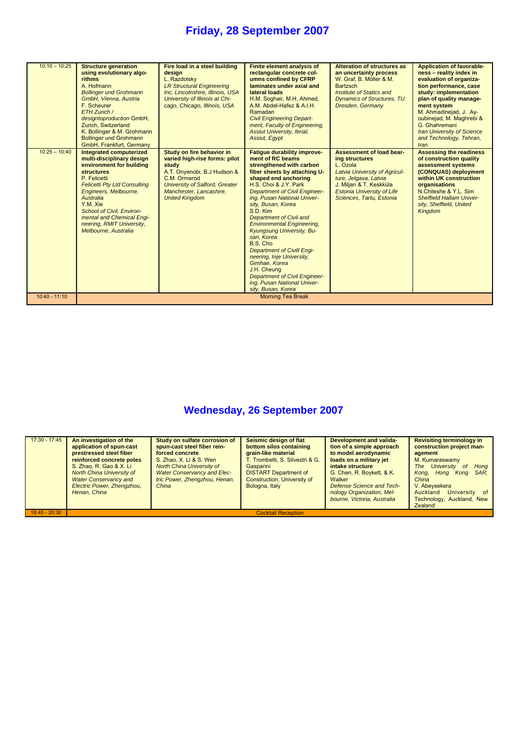| $10:10 - 10:25$ | <b>Structure generation</b><br>using evolutionary algo-<br><b>rithms</b><br>A. Hofmann<br><b>Bollinger und Grohmann</b><br>GmbH, Vienna, Austria<br>F. Scheurer<br>ETH Zurich /<br>designtoproduction GmbH,<br>Zurich, Switzerland<br>K. Bollinger & M. Grohmann<br><b>Bollinger und Grohmann</b><br>GmbH, Frankfurt, Germany | Fire load in a steel building<br>design<br>L. Razdolsky<br><b>LR Structural Engineering</b><br>Inc. Lincolnshire, Illinois, USA<br>University of Illinois at Chi-<br>cago, Chicago, Illinois, USA               | <b>Finite element analysis of</b><br>rectangular concrete col-<br>umns confined by CFRP<br>laminates under axial and<br>lateral loads<br>H.M. Soghair, M.H. Ahmed,<br>A.M. Abdel-Hafez & A.I.H.<br>Ramadan<br><b>Civil Engineering Depart-</b><br>ment, Faculty of Engineering,<br><b>Assiut University, ferial,</b><br><b>Assiut, Eqypt</b>                                                                                                                                                                                                                                                       | <b>Alteration of structures as</b><br>an uncertainty process<br>W. Graf, B. Möller & M.<br><b>Bartzsch</b><br>Institute of Statics and<br><b>Dynamics of Structures, TU</b><br>Dresden, Germany                            | <b>Application of favorable-</b><br>ness - reality index in<br>evaluation of organiza-<br>tion performance, case<br>study: implementation<br>plan of quality manage-<br>ment system<br>M. Ahmadinejad, J. Ay-<br>oubinejad, M. Maghrebi &<br>G. Ghahremani<br><b>Iran University of Science</b><br>and Technology, Tehran,<br>Iran |
|-----------------|-------------------------------------------------------------------------------------------------------------------------------------------------------------------------------------------------------------------------------------------------------------------------------------------------------------------------------|-----------------------------------------------------------------------------------------------------------------------------------------------------------------------------------------------------------------|----------------------------------------------------------------------------------------------------------------------------------------------------------------------------------------------------------------------------------------------------------------------------------------------------------------------------------------------------------------------------------------------------------------------------------------------------------------------------------------------------------------------------------------------------------------------------------------------------|----------------------------------------------------------------------------------------------------------------------------------------------------------------------------------------------------------------------------|------------------------------------------------------------------------------------------------------------------------------------------------------------------------------------------------------------------------------------------------------------------------------------------------------------------------------------|
| $10:25 - 10:40$ | Integrated computerized<br>multi-disciplinary design<br>environment for building<br><b>structures</b><br>P. Felicetti<br><b>Felicetti Pty Ltd Consulting</b><br>Engineers, Melbourne,<br>Australia<br>Y.M. Xie<br>School of Civil. Environ-<br>mental and Chemical Engi-<br>neering, RMIT University,<br>Melbourne, Australia | Study on fire behavior in<br>varied high-rise forms: pilot<br>study<br>A.T. Onyenobi, B.J Hudson &<br>C.M. Ormerod<br><b>University of Salford, Greater</b><br>Manchester, Lancashire,<br><b>United Kingdom</b> | Fatique durability improve-<br>ment of RC beams<br>strengthened with carbon<br>fiber sheets by attaching U-<br>shaped end anchoring<br>H.S. Choi & J.Y. Park<br><b>Department of Civil Engineer-</b><br>ing, Pusan National Univer-<br>sity, Busan, Korea<br>S.D. Kim<br>Department of Civil and<br><b>Environmental Engineering,</b><br><b>Kyungsung University, Bu-</b><br>san. Korea<br>B.S. Cho<br><b>Department of Civill Engi-</b><br>neering, Inje University,<br>Gimhae, Korea<br>J.H. Cheung<br><b>Department of Civil Engineer-</b><br>ing, Pusan National Univer-<br>sity, Busan, Korea | <b>Assessment of load bear-</b><br>ing structures<br>L. Ozola<br><b>Latvia University of Agricul-</b><br>ture, Jelgava, Latvia<br>J. Miljan & T. Keskküla<br><b>Estonia University of Life</b><br>Sciences, Tartu, Estonia | <b>Assessing the readiness</b><br>of construction quality<br>assessment systems<br>(CONQUAS) deployment<br>within UK construction<br>organisations<br>N.Chileshe & Y.L. Sim<br><b>Sheffield Hallam Univer-</b><br>sity, Sheffield, United<br>Kingdom                                                                               |
| $10:40 - 11:10$ |                                                                                                                                                                                                                                                                                                                               |                                                                                                                                                                                                                 | <b>Morning Tea Break</b>                                                                                                                                                                                                                                                                                                                                                                                                                                                                                                                                                                           |                                                                                                                                                                                                                            |                                                                                                                                                                                                                                                                                                                                    |

# **Wednesday, 26 September 2007**

| $17:30 - 17:45$ | An investigation of the<br>application of spun-cast<br>prestressed steel fiber<br>reinforced concrete poles<br>S. Zhao, R. Gao & X. Li<br>North China University of<br><b>Water Conservancy and</b><br>Electric Power, Zhengzhou,<br>Henan, China | Study on sulfate corrosion of<br>spun-cast steel fiber rein-<br>forced concrete<br>S. Zhao, X. Li & S. Wen<br>North China University of<br><b>Water Conservancy and Elec-</b><br>tric Power, Zhengzhou, Henan,<br>China | Seismic design of flat<br>bottom silos containing<br>grain-like material<br><b>T. Trombetti, S. Silvestri &amp; G.</b><br>Gasparini<br><b>DISTART Department of</b><br>Construction, University of<br>Bologna, Italy | Development and valida-<br>tion of a simple approach<br>to model aerodynamic<br>loads on a military jet<br>intake structure<br>G. Chen, R. Boykett, & K.<br>Walker<br>Defense Science and Tech-<br>nology Organization, Mel-<br>bourne, Victoria, Australia | <b>Revisiting terminology in</b><br>construction project man-<br>agement<br>M. Kumaraswamy<br>The University<br>Hong<br><sub>of</sub><br>SAR.<br>Kong, Hong Kong<br>China<br>V. Abeysekera<br>University<br>Auckland<br>of<br>Technology, Auckland, New<br>Zealand |
|-----------------|---------------------------------------------------------------------------------------------------------------------------------------------------------------------------------------------------------------------------------------------------|-------------------------------------------------------------------------------------------------------------------------------------------------------------------------------------------------------------------------|----------------------------------------------------------------------------------------------------------------------------------------------------------------------------------------------------------------------|-------------------------------------------------------------------------------------------------------------------------------------------------------------------------------------------------------------------------------------------------------------|--------------------------------------------------------------------------------------------------------------------------------------------------------------------------------------------------------------------------------------------------------------------|
| $18:45 - 20:30$ | <b>Cocktail Reception</b>                                                                                                                                                                                                                         |                                                                                                                                                                                                                         |                                                                                                                                                                                                                      |                                                                                                                                                                                                                                                             |                                                                                                                                                                                                                                                                    |
|                 |                                                                                                                                                                                                                                                   |                                                                                                                                                                                                                         |                                                                                                                                                                                                                      |                                                                                                                                                                                                                                                             |                                                                                                                                                                                                                                                                    |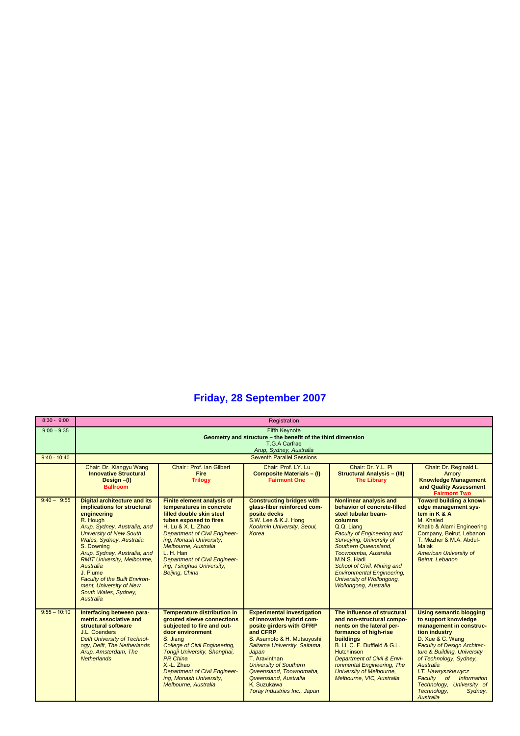| $8:30 - 9:00$  |                                                                                                                                                                                                                                                                                                                                                                                                                  | Registration                                                                                                                                                                                                                                                                                                                             |                                                                                                                                                                                                                                                                                                                                    |                                                                                                                                                                                                                                                                                                                                                                        |                                                                                                                                                                                                                                                                                                                                                         |  |
|----------------|------------------------------------------------------------------------------------------------------------------------------------------------------------------------------------------------------------------------------------------------------------------------------------------------------------------------------------------------------------------------------------------------------------------|------------------------------------------------------------------------------------------------------------------------------------------------------------------------------------------------------------------------------------------------------------------------------------------------------------------------------------------|------------------------------------------------------------------------------------------------------------------------------------------------------------------------------------------------------------------------------------------------------------------------------------------------------------------------------------|------------------------------------------------------------------------------------------------------------------------------------------------------------------------------------------------------------------------------------------------------------------------------------------------------------------------------------------------------------------------|---------------------------------------------------------------------------------------------------------------------------------------------------------------------------------------------------------------------------------------------------------------------------------------------------------------------------------------------------------|--|
| $9:00 - 9:35$  |                                                                                                                                                                                                                                                                                                                                                                                                                  |                                                                                                                                                                                                                                                                                                                                          | <b>Fifth Keynote</b><br>Geometry and structure - the benefit of the third dimension<br>T.G.A Carfrae<br>Arup, Sydney, Australia                                                                                                                                                                                                    |                                                                                                                                                                                                                                                                                                                                                                        |                                                                                                                                                                                                                                                                                                                                                         |  |
| $9:40 - 10:40$ |                                                                                                                                                                                                                                                                                                                                                                                                                  |                                                                                                                                                                                                                                                                                                                                          | <b>Seventh Parallel Sessions</b>                                                                                                                                                                                                                                                                                                   |                                                                                                                                                                                                                                                                                                                                                                        |                                                                                                                                                                                                                                                                                                                                                         |  |
|                | Chair: Dr. Xiangyu Wang<br><b>Innovative Structural</b><br>Design-(I)<br><b>Ballroom</b>                                                                                                                                                                                                                                                                                                                         | Chair: Prof. Ian Gilbert<br><b>Fire</b><br><b>Trilogy</b>                                                                                                                                                                                                                                                                                | Chair: Prof. LY. Lu<br><b>Composite Materials - (I)</b><br><b>Fairmont One</b>                                                                                                                                                                                                                                                     | Chair: Dr. Y.L. Pi<br><b>Structural Analysis - (III)</b><br><b>The Library</b>                                                                                                                                                                                                                                                                                         | Chair: Dr. Reginald L.<br>Amory<br><b>Knowledge Management</b><br>and Quality Assessment<br><b>Fairmont Two</b>                                                                                                                                                                                                                                         |  |
| $9:40 - 9:55$  | <b>Digital architecture and its</b><br>implications for structural<br>engineering<br>R. Hough<br>Arup, Sydney, Australia; and<br><b>University of New South</b><br>Wales, Sydney, Australia<br>S. Downing<br>Arup, Sydney, Australia; and<br><b>RMIT University, Melbourne,</b><br>Australia<br>J. Plume<br><b>Faculty of the Built Environ-</b><br>ment, University of New<br>South Wales, Sydney,<br>Australia | <b>Finite element analysis of</b><br>temperatures in concrete<br>filled double skin steel<br>tubes exposed to fires<br>H. Lu & X. L. Zhao<br><b>Department of Civil Engineer-</b><br>ing, Monash University,<br>Melbourne. Australia<br>L. H. Han<br><b>Department of Civil Engineer-</b><br>ing, Tsinghua University,<br>Beijing, China | <b>Constructing bridges with</b><br>glass-fiber reinforced com-<br>posite decks<br>S.W. Lee & K.J. Hong<br>Kookmin University, Seoul,<br>Korea                                                                                                                                                                                     | Nonlinear analysis and<br>behavior of concrete-filled<br>steel tubular beam-<br>columns<br>Q.Q. Liang<br><b>Faculty of Engineering and</b><br>Surveying, University of<br>Southern Queensland.<br>Toowoomba, Australia<br>M.N.S. Hadi<br>School of Civil, Mining and<br><b>Environmental Engineering,</b><br>University of Wollongong,<br><b>Wollongong, Australia</b> | Toward building a knowl-<br>edge management sys-<br>tem in K & A<br>M. Khaled<br>Khatib & Alami Engineering<br>Company, Beirut, Lebanon<br>T. Mezher & M.A. Abdul-<br>Malak<br><b>American University of</b><br>Beirut, Lebanon                                                                                                                         |  |
| $9:55 - 10:10$ | Interfacing between para-<br>metric associative and<br>structural software<br>J.L. Coenders<br><b>Delft University of Technol-</b><br>ogy, Delft, The Netherlands<br>Arup, Amsterdam, The<br><b>Netherlands</b>                                                                                                                                                                                                  | <b>Temperature distribution in</b><br>grouted sleeve connections<br>subjected to fire and out-<br>door environment<br>S. Jiang<br><b>College of Civil Engineering,</b><br>Tongji University, Shanghai,<br><b>PR</b> China<br>X.-L. Zhao<br><b>Department of Civil Engineer-</b><br>ing, Monash University,<br>Melbourne, Australia       | <b>Experimental investigation</b><br>of innovative hybrid com-<br>posite girders with GFRP<br>and CFRP<br>S. Asamoto & H. Mutsuyoshi<br>Saitama University, Saitama,<br>Japan<br>T. Aravinthan<br><b>University of Southern</b><br>Queensland, Toowoomaba,<br>Queensland, Australia<br>K. Suzukawa<br>Toray Industries Inc., Japan | The influence of structural<br>and non-structural compo-<br>nents on the lateral per-<br>formance of high-rise<br><b>buildings</b><br>B. Li. C. F. Duffield & G.L.<br><b>Hutchinson</b><br>Department of Civil & Envi-<br>ronmental Engineering, The<br>University of Melbourne,<br>Melbourne, VIC, Australia                                                          | <b>Using semantic blogging</b><br>to support knowledge<br>management in construc-<br>tion industry<br>D. Xue & C. Wang<br><b>Faculty of Design Architec-</b><br>ture & Building, University<br>of Technology, Sydney,<br>Australia<br>I.T. Hawryszkiewycz<br>Faculty of Information<br>Technology, University of<br>Technology,<br>Sydney,<br>Australia |  |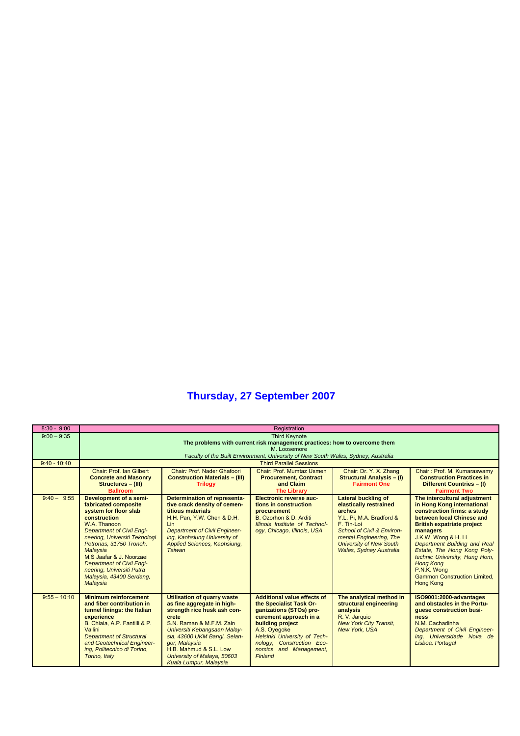| $8:30 - 9:00$   | Registration                                                                                                                                                                                                                                                                                                                                              |                                                                                                                                                                                                                                                                                                          |                                                                                                                                                                                                                                                          |                                                                                                                                                                                                                                       |                                                                                                                                                                                                                                                                                                                                                                                              |  |  |
|-----------------|-----------------------------------------------------------------------------------------------------------------------------------------------------------------------------------------------------------------------------------------------------------------------------------------------------------------------------------------------------------|----------------------------------------------------------------------------------------------------------------------------------------------------------------------------------------------------------------------------------------------------------------------------------------------------------|----------------------------------------------------------------------------------------------------------------------------------------------------------------------------------------------------------------------------------------------------------|---------------------------------------------------------------------------------------------------------------------------------------------------------------------------------------------------------------------------------------|----------------------------------------------------------------------------------------------------------------------------------------------------------------------------------------------------------------------------------------------------------------------------------------------------------------------------------------------------------------------------------------------|--|--|
| $9:00 - 9:35$   | <b>Third Keynote</b><br>The problems with current risk management practices: how to overcome them                                                                                                                                                                                                                                                         |                                                                                                                                                                                                                                                                                                          |                                                                                                                                                                                                                                                          |                                                                                                                                                                                                                                       |                                                                                                                                                                                                                                                                                                                                                                                              |  |  |
|                 |                                                                                                                                                                                                                                                                                                                                                           | M. Loosemore                                                                                                                                                                                                                                                                                             |                                                                                                                                                                                                                                                          |                                                                                                                                                                                                                                       |                                                                                                                                                                                                                                                                                                                                                                                              |  |  |
|                 |                                                                                                                                                                                                                                                                                                                                                           |                                                                                                                                                                                                                                                                                                          | Faculty of the Built Environment, University of New South Wales, Sydney, Australia                                                                                                                                                                       |                                                                                                                                                                                                                                       |                                                                                                                                                                                                                                                                                                                                                                                              |  |  |
| $9:40 - 10:40$  |                                                                                                                                                                                                                                                                                                                                                           |                                                                                                                                                                                                                                                                                                          | <b>Third Parallel Sessions</b>                                                                                                                                                                                                                           |                                                                                                                                                                                                                                       |                                                                                                                                                                                                                                                                                                                                                                                              |  |  |
|                 | Chair: Prof. Ian Gilbert<br><b>Concrete and Masonry</b><br>Structures - (III)<br><b>Ballroom</b>                                                                                                                                                                                                                                                          | Chair: Prof. Nader Ghafoori<br><b>Construction Materials - (III)</b><br><b>Trilogy</b>                                                                                                                                                                                                                   | Chair: Prof. Mumtaz Usmen<br><b>Procurement, Contract</b><br>and Claim<br><b>The Librarv</b>                                                                                                                                                             | Chair: Dr. Y. X. Zhang<br><b>Structural Analysis - (I)</b><br><b>Fairmont One</b>                                                                                                                                                     | Chair: Prof. M. Kumaraswamy<br><b>Construction Practices in</b><br>Different Countries - (I)<br><b>Fairmont Two</b>                                                                                                                                                                                                                                                                          |  |  |
| $9:40-$<br>9:55 | Development of a semi-<br>fabricated composite<br>system for floor slab<br>construction<br>W.A. Thanoon<br><b>Department of Civil Engi-</b><br>neering, Universiti Teknologi<br>Petronas, 31750 Tronoh,<br>Malaysia<br>M.S. Jaafar & J. Noorzaei<br><b>Department of Civil Engi-</b><br>neering, Universiti Putra<br>Malaysia, 43400 Serdang,<br>Malaysia | <b>Determination of representa-</b><br>tive crack density of cemen-<br>titious materials<br>H.H. Pan, Y.W. Chen & D.H.<br>Lin<br><b>Department of Civil Engineer-</b><br>ing, Kaohsiung University of<br>Applied Sciences, Kaohsiung,<br><b>Taiwan</b>                                                   | Electronic reverse auc-<br>tions in construction<br>procurement<br>B. Ozorhon & D. Arditi<br>Illinois Institute of Technol-<br>ogy, Chicago, Illinois, USA                                                                                               | <b>Lateral buckling of</b><br>elastically restrained<br>arches<br>Y.L. Pi. M.A. Bradford &<br>F. Tin-Loi<br>School of Civil & Environ-<br>mental Engineering, The<br><b>University of New South</b><br><b>Wales, Sydney Australia</b> | The intercultural adjustment<br>in Hong Kong international<br>construction firms: a study<br>between local Chinese and<br><b>British expatriate project</b><br>managers<br>J.K.W. Wong & H. Li<br>Department Building and Real<br>Estate, The Hong Kong Poly-<br>technic University, Hung Hom,<br><b>Hong Kong</b><br>P.N.K. Wong<br><b>Gammon Construction Limited,</b><br><b>Hong Kong</b> |  |  |
| $9:55 - 10:10$  | <b>Minimum reinforcement</b><br>and fiber contribution in<br>tunnel linings: the Italian<br>experience<br>B. Chiaia, A.P. Fantilli & P.<br>Vallini<br><b>Department of Structural</b><br>and Geotechnical Engineer-<br>ing, Politecnico di Torino,<br>Torino, Italy                                                                                       | <b>Utilisation of quarry waste</b><br>as fine aggregate in high-<br>strength rice husk ash con-<br>crete<br>S.N. Raman & M.F.M. Zain<br>Universiti Kebangsaan Malay-<br>sia, 43600 UKM Bangi, Selan-<br>gor, Malaysia<br>H.B. Mahmud & S.L. Low<br>University of Malaya, 50603<br>Kuala Lumpur, Malaysia | <b>Additional value effects of</b><br>the Specialist Task Or-<br>ganizations (STOs) pro-<br>curement approach in a<br>building project<br>A.S. Oyegoke<br>Helsinki University of Tech-<br>nology, Construction Eco-<br>nomics and Management,<br>Finland | The analytical method in<br>structural engineering<br>analysis<br>R. V. Jarquio<br><b>New York City Transit,</b><br><b>New York, USA</b>                                                                                              | ISO9001:2000-advantages<br>and obstacles in the Portu-<br>quese construction busi-<br>ness<br>N.M. Cachadinha<br>Department of Civil Engineer-<br>ing. Universidade Nova de<br>Lisboa, Portugal                                                                                                                                                                                              |  |  |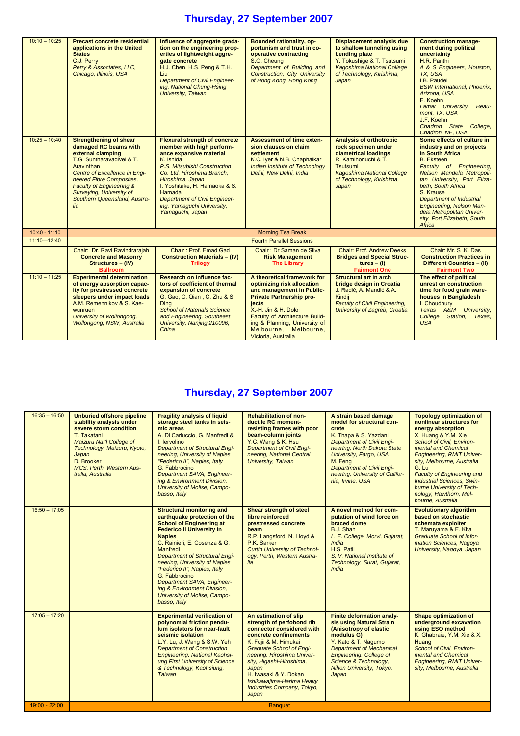| $10:10 - 10:25$<br>$10:25 - 10:40$ | <b>Precast concrete residential</b><br>applications in the United<br><b>States</b><br>C.J. Perry<br>Perry & Associates, LLC,<br>Chicago, Illinois, USA<br><b>Strengthening of shear</b><br>damaged RC beams with<br>external clamping<br>T.G. Suntharavadivel & T.<br>Aravinthan<br>Centre of Excellence in Engi-<br>neered Fibre Composites.<br><b>Faculty of Engineering &amp;</b><br>Surveying, University of<br>Southern Queensland, Austra-<br>lia | Influence of aggregate grada-<br>tion on the engineering prop-<br>erties of lightweight aggre-<br>gate concrete<br>H.J. Chen, H.S. Peng & T.H.<br>Liu<br><b>Department of Civil Engineer-</b><br>ing, National Chung-Hsing<br>University, Taiwan<br><b>Flexural strength of concrete</b><br>member with high perform-<br>ance expansive material<br>K. Ishida<br>P.S. Mitsubishi Construction<br>Co. Ltd. Hiroshima Branch,<br>Hiroshima, Japan<br>I. Yoshitake, H. Hamaoka & S.<br>Hamada<br><b>Department of Civil Engineer-</b><br>ing, Yamaguchi University,<br>Yamaguchi, Japan | <b>Bounded rationality, op-</b><br>portunism and trust in co-<br>operative contracting<br>S.O. Cheung<br>Department of Building and<br><b>Construction, City University</b><br>of Hong Kong, Hong Kong<br><b>Assessment of time exten-</b><br>sion clauses on claim<br>settlement<br>K.C. Iver & N.B. Chaphalkar<br>Indian Institute of Technology<br>Delhi, New Delhi, India | <b>Displacement analysis due</b><br>to shallow tunneling using<br>bending plate<br>Y. Tokushige & T. Tsutsumi<br><b>Kagoshima National College</b><br>of Technology, Kirishima,<br>Japan<br><b>Analysis of orthotropic</b><br>rock specimen under<br>diametrical loadings<br>R. Kamihoriuchi & T.<br>Tsutsumi<br><b>Kagoshima National College</b><br>of Technology, Kirishima,<br>Japan | <b>Construction manage-</b><br>ment during political<br>uncertainty<br>H.R. Panthi<br>A & S Engineers, Houston,<br>TX, USA<br>I.B. Paudel<br><b>BSW International, Phoenix,</b><br>Arizona, USA<br>E. Koehn<br>Lamar University,<br>Beau-<br>mont, TX, USA<br>J.F. Koehn<br>Chadron State<br>College,<br>Chadron, NE, USA<br>Some effects of culture in<br>industry and on projects<br>in South Africa<br><b>B.</b> Eksteen<br>Faculty of Engineering,<br>Nelson Mandela Metropoli-<br>tan University, Port Eliza-<br>beth, South Africa<br>S. Krause<br><b>Department of Industrial</b><br><b>Engineering, Nelson Man-</b><br>dela Metropolitan Univer- |
|------------------------------------|---------------------------------------------------------------------------------------------------------------------------------------------------------------------------------------------------------------------------------------------------------------------------------------------------------------------------------------------------------------------------------------------------------------------------------------------------------|--------------------------------------------------------------------------------------------------------------------------------------------------------------------------------------------------------------------------------------------------------------------------------------------------------------------------------------------------------------------------------------------------------------------------------------------------------------------------------------------------------------------------------------------------------------------------------------|-------------------------------------------------------------------------------------------------------------------------------------------------------------------------------------------------------------------------------------------------------------------------------------------------------------------------------------------------------------------------------|------------------------------------------------------------------------------------------------------------------------------------------------------------------------------------------------------------------------------------------------------------------------------------------------------------------------------------------------------------------------------------------|----------------------------------------------------------------------------------------------------------------------------------------------------------------------------------------------------------------------------------------------------------------------------------------------------------------------------------------------------------------------------------------------------------------------------------------------------------------------------------------------------------------------------------------------------------------------------------------------------------------------------------------------------------|
|                                    |                                                                                                                                                                                                                                                                                                                                                                                                                                                         |                                                                                                                                                                                                                                                                                                                                                                                                                                                                                                                                                                                      |                                                                                                                                                                                                                                                                                                                                                                               |                                                                                                                                                                                                                                                                                                                                                                                          | sity, Port Elizabeth, South<br>Africa                                                                                                                                                                                                                                                                                                                                                                                                                                                                                                                                                                                                                    |
| $10:40 - 11:10$                    |                                                                                                                                                                                                                                                                                                                                                                                                                                                         |                                                                                                                                                                                                                                                                                                                                                                                                                                                                                                                                                                                      | <b>Morning Tea Break</b>                                                                                                                                                                                                                                                                                                                                                      |                                                                                                                                                                                                                                                                                                                                                                                          |                                                                                                                                                                                                                                                                                                                                                                                                                                                                                                                                                                                                                                                          |
| $11:10 - 12:40$                    |                                                                                                                                                                                                                                                                                                                                                                                                                                                         |                                                                                                                                                                                                                                                                                                                                                                                                                                                                                                                                                                                      | <b>Fourth Parallel Sessions</b>                                                                                                                                                                                                                                                                                                                                               |                                                                                                                                                                                                                                                                                                                                                                                          |                                                                                                                                                                                                                                                                                                                                                                                                                                                                                                                                                                                                                                                          |
|                                    | Chair: Dr. Ravi Ravindrarajah<br><b>Concrete and Masonry</b><br>Structures - (IV)<br><b>Ballroom</b>                                                                                                                                                                                                                                                                                                                                                    | Chair: Prof. Emad Gad<br><b>Construction Materials - (IV)</b><br><b>Trilogy</b>                                                                                                                                                                                                                                                                                                                                                                                                                                                                                                      | Chair: Dr Saman de Silva<br><b>Risk Management</b><br><b>The Library</b>                                                                                                                                                                                                                                                                                                      | <b>Chair: Prof. Andrew Deeks</b><br><b>Bridges and Special Struc-</b><br>$tures - (I)$<br><b>Fairmont One</b>                                                                                                                                                                                                                                                                            | Chair: Mr. S.K. Das<br><b>Construction Practices in</b><br>Different Countries - (II)<br><b>Fairmont Two</b>                                                                                                                                                                                                                                                                                                                                                                                                                                                                                                                                             |
| $11:10 - 11:25$                    | <b>Experimental determination</b><br>of energy absorption capac-<br>ity for prestressed concrete<br>sleepers under impact loads<br>A.M. Remennikov & S. Kae-<br>wunruen<br>University of Wollongong,<br>Wollongong, NSW, Australia                                                                                                                                                                                                                      | Research on influence fac-<br>tors of coefficient of thermal<br>expansion of concrete<br>G. Gao, C. Qian, C. Zhu & S.<br><b>Ding</b><br><b>School of Materials Science</b><br>and Engineering, Southeast<br>University, Nanjing 210096,<br>China                                                                                                                                                                                                                                                                                                                                     | A theoretical framework for<br>optimizing risk allocation<br>and management in Public-<br><b>Private Partnership pro-</b><br>jects<br>X.-H. Jin & H. Doloi<br>Faculty of Architecture Build-<br>ing & Planning, University of<br>Melbourne, Melbourne,<br>Victoria, Australia                                                                                                 | <b>Structural art in arch</b><br>bridge design in Croatia<br>J. Radić, A. Mandić & A.<br>Kindii<br><b>Faculty of Civil Engineering,</b><br>University of Zagreb, Croatia                                                                                                                                                                                                                 | The effect of political<br>unrest on construction<br>time for food grain ware-<br>houses in Bangladesh<br>I. Choudhury<br>Texas A&M University,<br>College Station, Texas,<br><b>USA</b>                                                                                                                                                                                                                                                                                                                                                                                                                                                                 |

| $16:35 - 16:50$ | <b>Unburied offshore pipeline</b><br>stability analysis under<br>severe storm condition<br>T. Takatani<br>Maizuru Nat'l College of<br>Technology, Maizuru, Kyoto,<br>Japan<br>D. Brooker<br>MCS. Perth. Western Aus-<br>tralia, Australia | <b>Fragility analysis of liquid</b><br>storage steel tanks in seis-<br>mic areas<br>A. Di Carluccio. G. Manfredi &<br>I. lervolino<br><b>Department of Structural Engi-</b><br>neering, University of Naples<br>"Federico II", Naples, Italy<br>G. Fabbrocino<br>Department SAVA, Engineer-<br>ing & Environment Division,<br>University of Molise, Campo-<br>basso, Italy                                                                   | <b>Rehabilitation of non-</b><br>ductile RC moment-<br>resisting frames with poor<br>beam-column joints<br>Y.C. Wang & K. Hsu<br><b>Department of Civil Engi-</b><br>neering, National Central<br>University, Taiwan                                                                                                                 | A strain based damage<br>model for structural con-<br>crete<br>K. Thapa & S. Yazdani<br><b>Department of Civil Engi-</b><br>neering, North Dakota State<br>University, Fargo, USA<br>M. Fena<br><b>Department of Civil Engi-</b><br>neering, University of Califor-<br>nia, Irvine, USA | <b>Topology optimization of</b><br>nonlinear structures for<br>energy absorption<br>X. Huang & Y.M. Xie<br>School of Civil, Environ-<br>mental and Chemical<br><b>Engineering, RMIT Univer-</b><br>sity, Melbourne, Australia<br>G. Lu<br><b>Faculty of Engineering and</b><br><b>Industrial Sciences, Swin-</b><br>burne University of Tech-<br>nology, Hawthorn, Mel-<br>bourne, Australia |
|-----------------|-------------------------------------------------------------------------------------------------------------------------------------------------------------------------------------------------------------------------------------------|----------------------------------------------------------------------------------------------------------------------------------------------------------------------------------------------------------------------------------------------------------------------------------------------------------------------------------------------------------------------------------------------------------------------------------------------|--------------------------------------------------------------------------------------------------------------------------------------------------------------------------------------------------------------------------------------------------------------------------------------------------------------------------------------|-----------------------------------------------------------------------------------------------------------------------------------------------------------------------------------------------------------------------------------------------------------------------------------------|----------------------------------------------------------------------------------------------------------------------------------------------------------------------------------------------------------------------------------------------------------------------------------------------------------------------------------------------------------------------------------------------|
| $16:50 - 17:05$ |                                                                                                                                                                                                                                           | <b>Structural monitoring and</b><br>earthquake protection of the<br><b>School of Engineering at</b><br><b>Federico II University in</b><br><b>Naples</b><br>C. Rainieri, E. Cosenza & G.<br>Manfredi<br><b>Department of Structural Engi-</b><br>neering, University of Naples<br>"Federico II", Naples, Italy<br>G. Fabbrocino<br>Department SAVA, Engineer-<br>ing & Environment Division,<br>University of Molise, Campo-<br>basso, Italy | Shear strength of steel<br>fibre reinforced<br>prestressed concrete<br>beam<br>R.P. Langsford, N. Lloyd &<br>P.K. Sarker<br><b>Curtin University of Technol-</b><br>ogy, Perth, Western Austra-<br>lia                                                                                                                               | A novel method for com-<br>putation of wind force on<br>braced dome<br>B.J. Shah<br>L. E. College, Morvi, Gujarat,<br>India<br>H.S. Patil<br>S. V. National Institute of<br>Technology, Surat, Gujarat,<br>India                                                                        | <b>Evolutionary algorithm</b><br>based on stochastic<br>schemata exploiter<br>T. Maruyama & E. Kita<br><b>Graduate School of Infor-</b><br>mation Sciences, Nagoya<br>University, Nagoya, Japan                                                                                                                                                                                              |
| $17:05 - 17:20$ |                                                                                                                                                                                                                                           | <b>Experimental verification of</b><br>polynomial friction pendu-<br>lum isolators for near-fault<br>seismic isolation<br>L.Y. Lu, J. Wang & S.W. Yeh<br><b>Department of Construction</b><br>Engineering, National Kaohsi-<br>ung First University of Science<br>& Technology, Kaohsiung,<br><b>Taiwan</b>                                                                                                                                  | An estimation of slip<br>strength of perfobond rib<br>connector considered with<br>concrete confinements<br>K. Fujii & M. Himukai<br><b>Graduate School of Engi-</b><br>neering, Hiroshima Univer-<br>sity, Higashi-Hiroshima,<br>Japan<br>H. Iwasaki & Y. Dokan<br>Ishikawajima-Harima Heavy<br>Industries Company, Tokyo,<br>Japan | <b>Finite deformation analy-</b><br>sis using Natural Strain<br>(Anisotropy of elastic<br>modulus G)<br>Y. Kato & T. Nagumo<br><b>Department of Mechanical</b><br><b>Engineering, College of</b><br>Science & Technology,<br>Nihon University, Tokyo,<br>Japan                          | Shape optimization of<br>underground excavation<br>using ESO method<br>K. Ghabraie, Y.M. Xie & X.<br>Huang<br>School of Civil. Environ-<br>mental and Chemical<br><b>Engineering, RMIT Univer-</b><br>sity, Melbourne, Australia                                                                                                                                                             |
| $19:00 - 22:00$ |                                                                                                                                                                                                                                           |                                                                                                                                                                                                                                                                                                                                                                                                                                              | <b>Banquet</b>                                                                                                                                                                                                                                                                                                                       |                                                                                                                                                                                                                                                                                         |                                                                                                                                                                                                                                                                                                                                                                                              |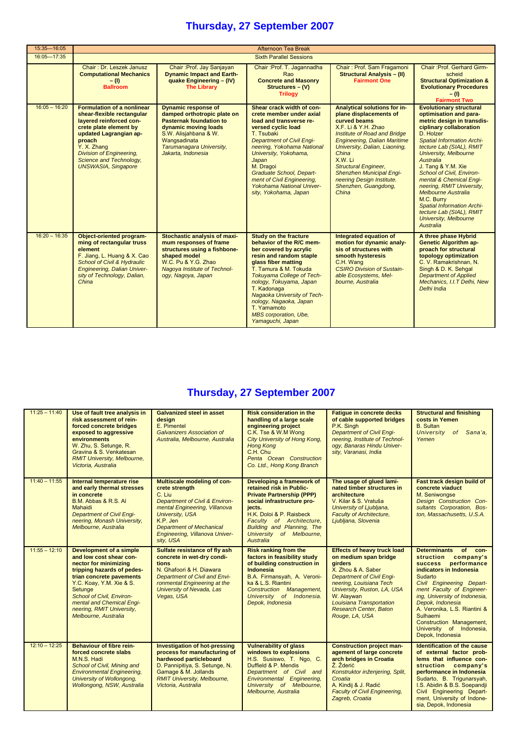| 15:35-16:05     |                                                                                                                                                                                                                                                                     |                                                                                                                                                                                                                | Afternoon Tea Break                                                                                                                                                                                                                                                                                                                                                 |                                                                                                                                                                                                                                                                                                                                                           |                                                                                                                                                                                                                                                                                                                                                                                                                                                                                                            |  |  |
|-----------------|---------------------------------------------------------------------------------------------------------------------------------------------------------------------------------------------------------------------------------------------------------------------|----------------------------------------------------------------------------------------------------------------------------------------------------------------------------------------------------------------|---------------------------------------------------------------------------------------------------------------------------------------------------------------------------------------------------------------------------------------------------------------------------------------------------------------------------------------------------------------------|-----------------------------------------------------------------------------------------------------------------------------------------------------------------------------------------------------------------------------------------------------------------------------------------------------------------------------------------------------------|------------------------------------------------------------------------------------------------------------------------------------------------------------------------------------------------------------------------------------------------------------------------------------------------------------------------------------------------------------------------------------------------------------------------------------------------------------------------------------------------------------|--|--|
| 16:05-17:35     |                                                                                                                                                                                                                                                                     | <b>Sixth Parallel Sessions</b>                                                                                                                                                                                 |                                                                                                                                                                                                                                                                                                                                                                     |                                                                                                                                                                                                                                                                                                                                                           |                                                                                                                                                                                                                                                                                                                                                                                                                                                                                                            |  |  |
|                 | Chair: Dr. Leszek Janusz<br><b>Computational Mechanics</b><br>$-$ (l)<br><b>Ballroom</b>                                                                                                                                                                            | Chair: Prof. Jay Sanjayan<br><b>Dynamic Impact and Earth-</b><br>quake Engineering - (IV)<br><b>The Library</b>                                                                                                | Chair: Prof. T. Jagannadha<br>Rao<br><b>Concrete and Masonry</b><br>Structures - (V)<br><b>Trilogy</b>                                                                                                                                                                                                                                                              | Chair: Prof. Sam Fragamoni<br><b>Structural Analysis - (II)</b><br><b>Fairmont One</b>                                                                                                                                                                                                                                                                    | Chair: Prof. Gerhard Girm-<br>scheid<br><b>Structural Optimization &amp;</b><br><b>Evolutionary Procedures</b><br>$-$ (I)<br><b>Fairmont Two</b>                                                                                                                                                                                                                                                                                                                                                           |  |  |
| $16:05 - 16:20$ | <b>Formulation of a nonlinear</b><br>shear-flexible rectangular<br>lavered reinforced con-<br>crete plate element by<br>updated Lagrangian ap-<br>proach<br>Y. X. Zhang<br><b>Division of Engineering,</b><br>Science and Technology,<br><b>UNSWASIA, Singapore</b> | <b>Dynamic response of</b><br>damped orthotropic plate on<br><b>Pasternak foundation to</b><br>dynamic moving loads<br>S.W. Alisjahbana & W.<br>Wangsadinata<br>Tarumanagara University,<br>Jakarta, Indonesia | Shear crack width of con-<br>crete member under axial<br>load and transverse re-<br>versed cyclic load<br>T. Tsubaki<br><b>Department of Civil Engi-</b><br>neering, Yokohama National<br>University, Yokohama,<br>Japan<br>M. Dragoi<br><b>Graduate School, Depart-</b><br>ment of Civil Engineering,<br><b>Yokohama National Univer-</b><br>sity, Yokohama, Japan | Analytical solutions for in-<br>plane displacements of<br>curved beams<br>X.F. Li & Y.H. Zhao<br>Institute of Road and Bridge<br><b>Engineering, Dalian Maritime</b><br>University, Dalian, Liaoning,<br>China<br>X.W. Li<br><b>Structural Engineer,</b><br><b>Shenzhen Municipal Engi-</b><br>neering Design Institute.<br>Shenzhen, Guangdong,<br>China | <b>Evolutionary structural</b><br>optimisation and para-<br>metric design in transdis-<br>ciplinary collaboration<br>D. Holzer<br><b>Spatial Information Archi-</b><br>tecture Lab (SIAL), RMIT<br><b>University, Melbourne</b><br>Australia<br>J. Tang & Y.M. Xie<br>School of Civil. Environ-<br>mental & Chemical Engi-<br>neering, RMIT University,<br>Melbourne Australia<br>M.C. Burry<br><b>Spatial Information Archi-</b><br>tecture Lab (SIAL), RMIT<br><b>University, Melbourne</b><br>Australia |  |  |
| $16:20 - 16:35$ | Object-oriented program-<br>ming of rectangular truss<br>element<br>F. Jiang, L. Huang & X. Cao<br><b>School of Civil &amp; Hydraulic</b><br>Engineering, Dalian Univer-<br>sity of Technology, Dalian,<br>China                                                    | Stochastic analysis of maxi-<br>mum responses of frame<br>structures using a fishbone-<br>shaped model<br>W.C. Pu & Y.G. Zhao<br>Nagoya Institute of Technol-<br>ogy, Nagoya, Japan                            | <b>Study on the fracture</b><br>behavior of the R/C mem-<br>ber covered by acrylic<br>resin and random staple<br>glass fiber matting<br>T. Tamura & M. Tokuda<br>Tokuyama College of Tech-<br>nology, Tokuyama, Japan<br>T. Kadonaga<br>Nagaoka University of Tech-<br>nology, Nagaoka, Japan<br>T. Yamamoto<br><b>MBS</b> corporation, Ube,<br>Yamaguchi, Japan    | Integrated equation of<br>motion for dynamic analy-<br>sis of structures with<br>smooth hysteresis<br>C.H. Wang<br><b>CSIRO Division of Sustain-</b><br>able Ecosystems, Mel-<br>bourne, Australia                                                                                                                                                        | A three phase Hybrid<br><b>Genetic Algorithm ap-</b><br>proach for structural<br>topology optimization<br>C. V. Ramakrishnan, N.<br>Singh & D. K. Sehgal<br><b>Department of Applied</b><br>Mechanics, I.I.T Delhi, New<br>Delhi India                                                                                                                                                                                                                                                                     |  |  |

| $11:25 - 11:40$ | Use of fault tree analysis in<br>risk assessment of rein-<br>forced concrete bridges<br>exposed to aggressive<br>environments<br>W. Zhu, S. Setunge, R.<br>Gravina & S. Venkatesan<br><b>RMIT University, Melbourne,</b><br>Victoria, Australia                                                    | <b>Galvanized steel in asset</b><br>desian<br>E. Pimentel<br>Galvanizers Association of<br>Australia, Melbourne, Australia                                                                                                                         | <b>Risk consideration in the</b><br>handling of a large scale<br>engineering project<br>C.K. Tse & W.M Wong<br>City University of Hong Kong,<br>Hong Kong<br>C.H. Chu<br>Penta Ocean Construction<br>Co. Ltd., Hong Kong Branch                                  | <b>Fatique in concrete decks</b><br>of cable supported bridges<br>P.K. Singh<br><b>Department of Civil Engi-</b><br>neering, Institute of Technol-<br>oav. Banaras Hindu Univer-<br>sity, Varanasi, India                                                                                      | <b>Structural and finishing</b><br>costs in Yemen<br><b>B.</b> Sultan<br><b>University</b><br>of Sana'a,<br>Yemen                                                                                                                                                                                                                                                   |
|-----------------|----------------------------------------------------------------------------------------------------------------------------------------------------------------------------------------------------------------------------------------------------------------------------------------------------|----------------------------------------------------------------------------------------------------------------------------------------------------------------------------------------------------------------------------------------------------|------------------------------------------------------------------------------------------------------------------------------------------------------------------------------------------------------------------------------------------------------------------|------------------------------------------------------------------------------------------------------------------------------------------------------------------------------------------------------------------------------------------------------------------------------------------------|---------------------------------------------------------------------------------------------------------------------------------------------------------------------------------------------------------------------------------------------------------------------------------------------------------------------------------------------------------------------|
| $11:40 - 11:55$ | Internal temperature rise<br>and early thermal stresses<br>in concrete<br>B.M. Abbas & R.S. AI<br>Mahaidi<br><b>Department of Civil Engi-</b><br>neering, Monash University,<br>Melbourne, Australia                                                                                               | Multiscale modeling of con-<br>crete strength<br>C. Liu<br>Department of Civil & Environ-<br>mental Engineering, Villanova<br><b>University, USA</b><br>K.P. Jen<br><b>Department of Mechanical</b><br>Engineering, Villanova Univer-<br>sity, USA | Developing a framework of<br>retained risk in Public-<br><b>Private Partnership (PPP)</b><br>social infrastructure pro-<br>iects.<br>H.K. Doloi & P. Raisbeck<br>Faculty of Architecture,<br>Building and Planning, The<br>University of Melbourne.<br>Australia | The usage of glued lami-<br>nated timber structures in<br>architecture<br>V. Kilar & S. Vratuša<br>University of Ljubljana,<br><b>Faculty of Architecture.</b><br>Ljubljana, Slovenia                                                                                                          | Fast track design build of<br>concrete viaduct<br>M. Seniwongse<br>Design Construction Con-<br>sultants Corporation, Bos-<br>ton, Massachusetts, U.S.A.                                                                                                                                                                                                             |
| $11:55 - 12:10$ | <b>Development of a simple</b><br>and low cost shear con-<br>nector for minimizing<br>tripping hazards of pedes-<br>trian concrete pavements<br>Y.C. Koay, Y.M. Xie & S.<br>Setunge<br>School of Civil, Environ-<br>mental and Chemical Engi-<br>neering, RMIT University,<br>Melbourne, Australia | Sulfate resistance of fly ash<br>concrete in wet-dry condi-<br>tions<br>N. Ghafoori & H. Diawara<br><b>Department of Civil and Envi-</b><br>ronmental Engineering at the<br>University of Nevada, Las<br>Vegas, USA                                | <b>Risk ranking from the</b><br>factors in feasibility study<br>of building construction in<br>Indonesia<br>B.A. Firmansyah, A. Veroni-<br>ka & L.S. Riantini<br>Construction Management,<br>University of Indonesia.<br>Depok, Indonesia                        | <b>Effects of heavy truck load</b><br>on medium span bridge<br><b>airders</b><br>X. Zhou & A. Saber<br><b>Department of Civil Engi-</b><br>neering, Louisiana Tech<br>University, Ruston, LA, USA<br>W. Alaywan<br>Louisiana Transportation<br><b>Research Center, Baton</b><br>Rouge, LA, USA | Determinants of con-<br><b>struction</b><br>company's<br>performance<br><b>SUCCESS</b><br>indicators in Indonesia<br>Sudarto<br>Civil Engineering Depart-<br>ment Faculty of Engineer-<br>ing, University of Indonesia,<br>Depok, Indonesia<br>A. Veronika, L.S. Riantini &<br>Sulhaemi<br>Construction Management,<br>University of Indonesia,<br>Depok, Indonesia |
| $12:10 - 12:25$ | <b>Behaviour of fibre rein-</b><br>forced concrete slabs<br>M.N.S. Hadi<br>School of Civil, Mining and<br><b>Environmental Engineering,</b><br>University of Wollongong,<br>Wollongong, NSW, Australia                                                                                             | <b>Investigation of hot-pressing</b><br>process for manufacturing of<br>hardwood particleboard<br>D. Pannipitiya, S. Setunge, N.<br>Gamage & M. Jollands<br><b>RMIT University, Melbourne,</b><br>Victoria, Australia                              | <b>Vulnerability of glass</b><br>windows to explosions<br>H.S. Susiswo, T. Ngo, C.<br>Duffield & P. Mendis<br>Department of Civil and<br>Environmental Engineering,<br>University of Melbourne,<br>Melbourne, Australia                                          | <b>Construction project man-</b><br>agement of large concrete<br>arch bridges in Croatia<br>Ž. Žderić<br>Konstruktor inženjering, Split,<br>Croatia<br>A. Kindij & J. Radić<br><b>Faculty of Civil Engineering,</b><br>Zagreb, Croatia                                                         | <b>Identification of the cause</b><br>of external factor prob-<br>lems that influence con-<br>struction company's<br>performance in Indonesia<br>Sudarto, B. Trigunarsyah,<br>I.S. Abidin & B.S. Soepandji<br>Civil Engineering Depart-<br>ment, University of Indone-<br>sia, Depok, Indonesia                                                                     |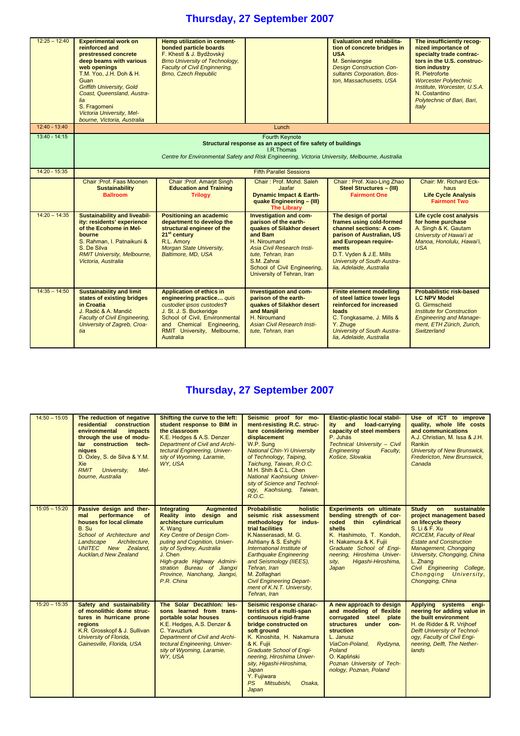| $12:25 - 12:40$ | <b>Experimental work on</b><br>reinforced and<br>prestressed concrete<br>deep beams with various<br>web openings<br>T.M. Yoo, J.H. Doh & H.<br>Guan<br><b>Griffith University, Gold</b><br>Coast, Queensland, Austra-<br>lia<br>S. Fragomeni<br>Victoria University, Mel-<br>bourne, Victoria, Australia | Hemp utilization in cement-<br>bonded particle boards<br>F. Khestl & J. Bydžovský<br><b>Brno University of Technology,</b><br><b>Faculty of Civil Enginnering,</b><br><b>Brno, Czech Republic</b>                               |                                                                                                                                                                                                                                                 | <b>Evaluation and rehabilita-</b><br>tion of concrete bridges in<br><b>USA</b><br>M. Seniwongse<br><b>Design Construction Con-</b><br>sultants Corporation, Bos-<br>ton, Massachusetts, USA                                       | The insufficiently recog-<br>nized importance of<br>specialty trade contrac-<br>tors in the U.S. construc-<br>tion industry<br>R. Pietroforte<br><b>Worcester Polytechnic</b><br>Institute, Worcester, U.S.A.<br>N. Costantino<br>Polytechnic of Bari, Bari,<br>Italy |  |
|-----------------|----------------------------------------------------------------------------------------------------------------------------------------------------------------------------------------------------------------------------------------------------------------------------------------------------------|---------------------------------------------------------------------------------------------------------------------------------------------------------------------------------------------------------------------------------|-------------------------------------------------------------------------------------------------------------------------------------------------------------------------------------------------------------------------------------------------|-----------------------------------------------------------------------------------------------------------------------------------------------------------------------------------------------------------------------------------|-----------------------------------------------------------------------------------------------------------------------------------------------------------------------------------------------------------------------------------------------------------------------|--|
| $12:40 - 13:40$ |                                                                                                                                                                                                                                                                                                          |                                                                                                                                                                                                                                 | Lunch                                                                                                                                                                                                                                           |                                                                                                                                                                                                                                   |                                                                                                                                                                                                                                                                       |  |
| $13:40 - 14:15$ | <b>Fourth Keynote</b><br>Structural response as an aspect of fire safety of buildings<br>I.R. Thomas<br>Centre for Environmental Safety and Risk Engineering, Victoria University, Melbourne, Australia                                                                                                  |                                                                                                                                                                                                                                 |                                                                                                                                                                                                                                                 |                                                                                                                                                                                                                                   |                                                                                                                                                                                                                                                                       |  |
| $14:20 - 15:35$ |                                                                                                                                                                                                                                                                                                          |                                                                                                                                                                                                                                 | <b>Fifth Parallel Sessions</b>                                                                                                                                                                                                                  |                                                                                                                                                                                                                                   |                                                                                                                                                                                                                                                                       |  |
|                 | Chair: Prof. Faas Moonen<br><b>Sustainability</b><br><b>Ballroom</b>                                                                                                                                                                                                                                     | Chair: Prof. Amarjit Singh<br><b>Education and Training</b><br><b>Trilogy</b>                                                                                                                                                   | Chair: Prof. Mohd. Saleh<br>Jaafar<br><b>Dynamic Impact &amp; Earth-</b><br>quake Engineering - (III)<br><b>The Library</b>                                                                                                                     | Chair: Prof. Xiao-Ling Zhao<br><b>Steel Structures - (III)</b><br><b>Fairmont One</b>                                                                                                                                             | Chair: Mr. Richard Eck-<br>haus<br><b>Life Cycle Analysis</b><br><b>Fairmont Two</b>                                                                                                                                                                                  |  |
| $14:20 - 14:35$ | <b>Sustainability and liveabil-</b><br>ity: residents' experience<br>of the Ecohome in Mel-<br>bourne<br>S. Rahman, I. Patnaikuni &<br>S. De Silva<br><b>RMIT University, Melbourne,</b><br>Victoria. Australia                                                                                          | <b>Positioning an academic</b><br>department to develop the<br>structural engineer of the<br>21 <sup>st</sup> century<br>R.L. Amory<br>Morgan State University,<br>Baltimore, MD, USA                                           | <b>Investigation and com-</b><br>parison of the earth-<br>quakes of Silakhor desert<br>and Bam<br>H. Niroumand<br>Asia Civil Research Insti-<br>tute, Tehran, Iran<br>S.M. Zahrai<br>School of Civil Engineering,<br>University of Tehran, Iran | The design of portal<br>frames using cold-formed<br>channel sections: A com-<br>parison of Australian, US<br>and European require-<br>ments<br>D.T. Vyden & J.E. Mills<br>University of South Austra-<br>lia, Adelaide, Australia | Life cycle cost analysis<br>for home purchase<br>A. Singh & K. Gautam<br>University of Hawai'i at<br>Manoa, Honolulu, Hawai'i,<br><b>USA</b>                                                                                                                          |  |
| $14:35 - 14:50$ | <b>Sustainability and limit</b><br>states of existing bridges<br>in Croatia<br>J. Radić & A. Mandić<br>Faculty of Civil Engineering,<br>University of Zagreb, Croa-<br>tia                                                                                                                               | <b>Application of ethics in</b><br>engineering practice quis<br>custodiet ipsos custodes?<br>J. St. J. S. Buckeridge<br>School of Civil, Environmental<br>and Chemical Engineering,<br>RMIT University, Melbourne,<br>Australia | Investigation and com-<br>parison of the earth-<br>quakes of Silakhor desert<br>and Manjil<br>H. Niroumand<br><b>Asian Civil Research Insti-</b><br>tute, Tehran, Iran                                                                          | <b>Finite element modelling</b><br>of steel lattice tower legs<br>reinforced for increased<br>loads<br>C. Tongkasame, J. Mills &<br>Y. Zhuge<br>University of South Austra-<br>lia, Adelaide, Australia                           | <b>Probabilistic risk-based</b><br><b>LC NPV Model</b><br>G. Girmscheid<br><b>Institute for Construction</b><br><b>Engineering and Manage-</b><br>ment, ETH Zürich, Zurich,<br>Switzerland                                                                            |  |

| $14:50 - 15:05$ | The reduction of negative<br>residential construction<br>environmental<br><i>impacts</i><br>through the use of modu-<br>lar construction tech-<br>niques<br>D. Oxley, S. de Silva & Y.M.<br>Xie<br><b>RMIT</b><br>Mel-<br>University,<br>bourne, Australia | Shifting the curve to the left:<br>student response to BIM in<br>the classroom<br>K.E. Hedges & A.S. Denzer<br><b>Department of Civil and Archi-</b><br>tectural Engineering, Univer-<br>sity of Wyoming, Laramie,<br>WY, USA                                                                                    | Seismic proof for mo-<br>ment-resisting R.C. struc-<br>ture considering member<br>displacement<br>W.P. Sung<br><b>National Chin-Yi University</b><br>of Technology, Taiping,<br>Taichung, Taiwan, R.O.C.<br>M.H. Shih & C.L. Chen<br>National Kaohsiung Univer-<br>sity of Science and Technol-<br>ogy, Kaohsiung, Taiwan,<br>R.O.C.                                   | <b>Elastic-plastic local stabil-</b><br>ity and load-carrying<br>capacity of steel members<br>P. Juhás<br><b>Technical University - Civil</b><br><b>Engineering</b><br>Faculty,<br>Košice, Slovakia                                                                   | Use of ICT to improve<br>quality, whole life costs<br>and communications<br>A.J. Christian, M. Issa & J.H.<br>Rankin<br><b>University of New Brunswick,</b><br>Fredericton, New Brunswick,<br>Canada                                                                                                                             |
|-----------------|------------------------------------------------------------------------------------------------------------------------------------------------------------------------------------------------------------------------------------------------------------|------------------------------------------------------------------------------------------------------------------------------------------------------------------------------------------------------------------------------------------------------------------------------------------------------------------|------------------------------------------------------------------------------------------------------------------------------------------------------------------------------------------------------------------------------------------------------------------------------------------------------------------------------------------------------------------------|-----------------------------------------------------------------------------------------------------------------------------------------------------------------------------------------------------------------------------------------------------------------------|----------------------------------------------------------------------------------------------------------------------------------------------------------------------------------------------------------------------------------------------------------------------------------------------------------------------------------|
| $15:05 - 15:20$ | Passive design and ther-<br>performance<br>mal<br>0f<br>houses for local climate<br>B. Su<br>School of Architecture and<br>Architecture,<br>Landscape<br>UNITEC New Zealand.<br>Aucklan, d New Zealand                                                     | Integrating<br><b>Augmented</b><br>Reality into design and<br>architecture curriculum<br>X. Wang<br>Key Centre of Design Com-<br>puting and Cognition, Univer-<br>sity of Sydney, Australia<br>J. Chen<br>High-grade Highway Admini-<br>stration Bureau of Jiangxi<br>Province, Nanchang, Jiangxi,<br>P.R. China | <b>Probabilistic</b><br>holistic<br>seismic risk assessment<br>methodology for indus-<br>trial facilities<br>K.Nasserasadi. M. G.<br>Ashtiany & S. Eshghi<br>International Institute of<br><b>Earthquake Engineering</b><br>and Seismology (IIEES),<br>Tehran, Iran<br>M. Zolfaghari<br><b>Civil Engineering Depart-</b><br>ment of K.N.T. University,<br>Tehran, Iran | <b>Experiments on ultimate</b><br>bending strength of cor-<br>roded thin cylindrical<br>shells<br>K. Hashimoto, T. Kondoh,<br>H. Nakamura & K. Fujii<br>Graduate School of Engi-<br>neering, Hiroshima Univer-<br>Higashi-Hiroshima,<br>sity,<br>Japan                | <b>Study</b><br>sustainable<br>on<br>project management based<br>on lifecycle theory<br>S. Li & F. Xu<br><b>RCICEM, Faculty of Real</b><br><b>Estate and Construction</b><br><b>Management, Chongqing</b><br>University, Chongqing, China<br>L. Zhang<br>Civil Engineering College,<br>Chongging University,<br>Chongging, China |
| $15:20 - 15:35$ | Safety and sustainability<br>of monolithic dome struc-<br>tures in hurricane prone<br>regions<br>K.R. Grosskopf & J. Sullivan<br>University of Florida,<br>Gainesville, Florida, USA                                                                       | The Solar Decathlon: les-<br>sons learned from trans-<br>portable solar houses<br>K.E. Hedges, A.S. Denzer &<br>C. Yavuzturk<br><b>Department of Civil and Archi-</b><br>tectural Engineering, Univer-<br>sity of Wyoming, Laramie,<br>WY. USA                                                                   | Seismic response charac-<br>teristics of a multi-span<br>continuous rigid-frame<br>bridge constructed on<br>soft ground<br>K. Kinoshita, H. Nakamura<br>& K. Fujii<br><b>Graduate School of Engi-</b><br>neering, Hiroshima Univer-<br>sity, Higashi-Hiroshima,<br>Japan<br>Y. Fujiwara<br><b>PS</b><br>Mitsubishi,<br>Osaka,<br>Japan                                 | A new approach to design<br>and modeling of flexible<br>corrugated steel<br>plate<br><b>structures</b><br>under con-<br><b>struction</b><br>L. Janusz<br>ViaCon-Poland,<br>Rydzyna,<br>Poland<br>O. Kapliński<br>Poznan University of Tech-<br>nology, Poznan, Poland | Applying systems engi-<br>neering for adding value in<br>the built environment<br>H. de Ridder & R. Vrijhoef<br><b>Delft University of Technol-</b><br>ogy, Faculty of Civil Engi-<br>neering, Delft, The Nether-<br>lands                                                                                                       |